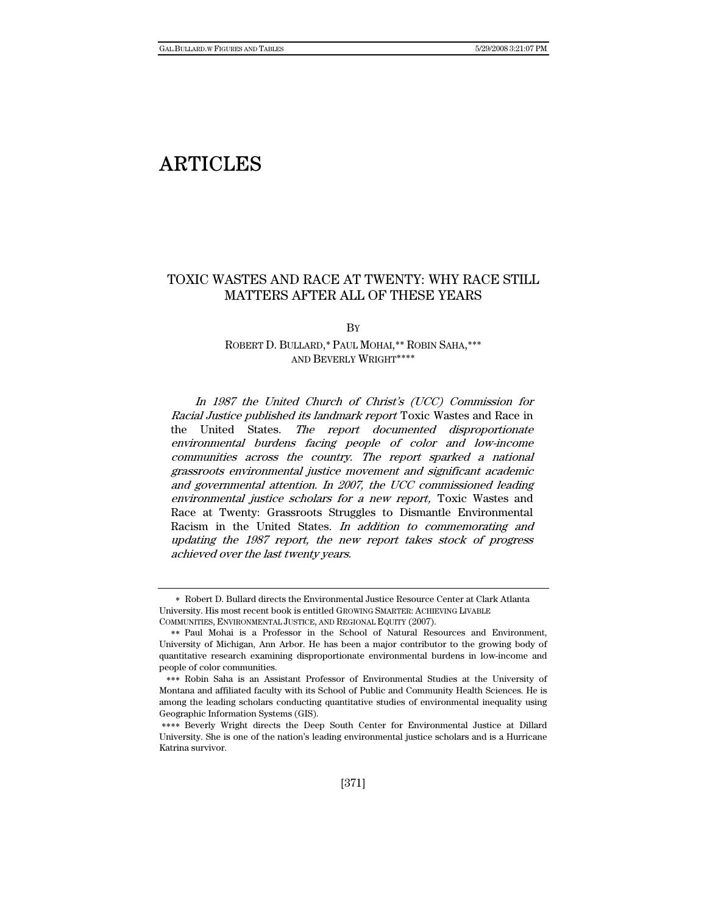# ARTICLES

# TOXIC WASTES AND RACE AT TWENTY: WHY RACE STILL MATTERS AFTER ALL OF THESE YEARS

**By** 

# ROBERT D. BULLARD,∗ PAUL MOHAI,∗∗ ROBIN SAHA,∗∗∗ AND BEVERLY WRIGHT∗∗∗∗

In 1987 the United Church of Christ's (UCC) Commission for Racial Justice published its landmark report Toxic Wastes and Race in the United States. The report documented disproportionate environmental burdens facing people of color and low-income communities across the country. The report sparked a national grassroots environmental justice movement and significant academic and governmental attention. In 2007, the UCC commissioned leading environmental justice scholars for a new report, Toxic Wastes and Race at Twenty: Grassroots Struggles to Dismantle Environmental Racism in the United States. In addition to commemorating and updating the 1987 report, the new report takes stock of progress achieved over the last twenty years.

<sup>∗</sup> Robert D. Bullard directs the Environmental Justice Resource Center at Clark Atlanta University. His most recent book is entitled GROWING SMARTER: ACHIEVING LIVABLE COMMUNITIES, ENVIRONMENTAL JUSTICE, AND REGIONAL EQUITY (2007).

<sup>∗∗</sup> Paul Mohai is a Professor in the School of Natural Resources and Environment, University of Michigan, Ann Arbor. He has been a major contributor to the growing body of quantitative research examining disproportionate environmental burdens in low-income and people of color communities.

<sup>∗∗∗</sup> Robin Saha is an Assistant Professor of Environmental Studies at the University of Montana and affiliated faculty with its School of Public and Community Health Sciences. He is among the leading scholars conducting quantitative studies of environmental inequality using Geographic Information Systems (GIS).

<sup>∗∗∗∗</sup> Beverly Wright directs the Deep South Center for Environmental Justice at Dillard University. She is one of the nation's leading environmental justice scholars and is a Hurricane Katrina survivor.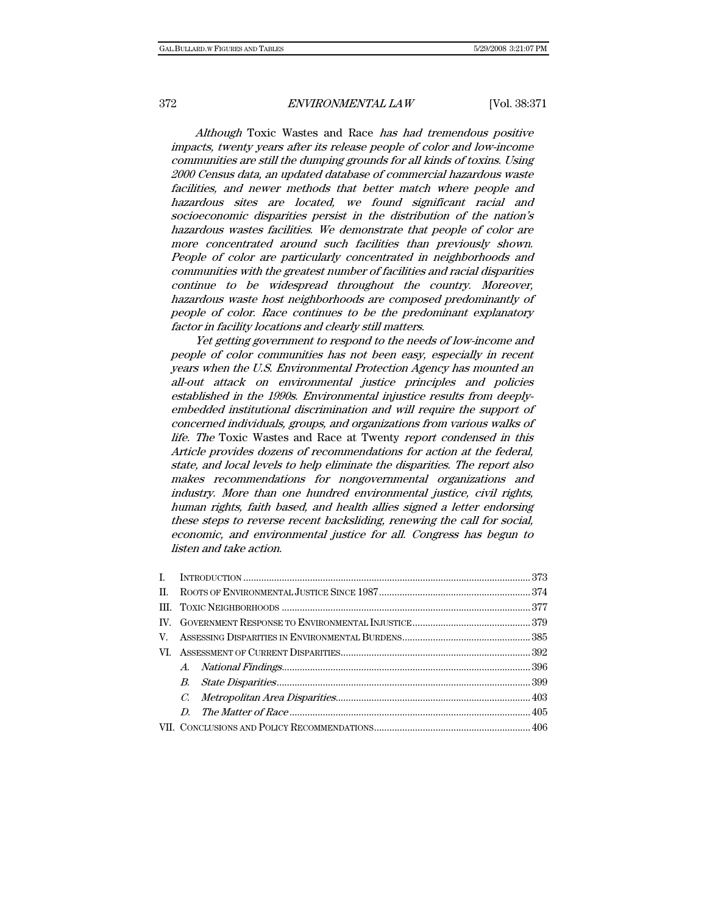Although Toxic Wastes and Race has had tremendous positive impacts, twenty years after its release people of color and low-income communities are still the dumping grounds for all kinds of toxins. Using 2000 Census data, an updated database of commercial hazardous waste facilities, and newer methods that better match where people and hazardous sites are located, we found significant racial and socioeconomic disparities persist in the distribution of the nation's hazardous wastes facilities. We demonstrate that people of color are more concentrated around such facilities than previously shown. People of color are particularly concentrated in neighborhoods and communities with the greatest number of facilities and racial disparities continue to be widespread throughout the country. Moreover, hazardous waste host neighborhoods are composed predominantly of people of color. Race continues to be the predominant explanatory factor in facility locations and clearly still matters.

Yet getting government to respond to the needs of low-income and people of color communities has not been easy, especially in recent years when the U.S. Environmental Protection Agency has mounted an all-out attack on environmental justice principles and policies established in the 1990s. Environmental injustice results from deeplyembedded institutional discrimination and will require the support of concerned individuals, groups, and organizations from various walks of life. The Toxic Wastes and Race at Twenty report condensed in this Article provides dozens of recommendations for action at the federal, state, and local levels to help eliminate the disparities. The report also makes recommendations for nongovernmental organizations and industry. More than one hundred environmental justice, civil rights, human rights, faith based, and health allies signed a letter endorsing these steps to reverse recent backsliding, renewing the call for social, economic, and environmental justice for all. Congress has begun to listen and take action.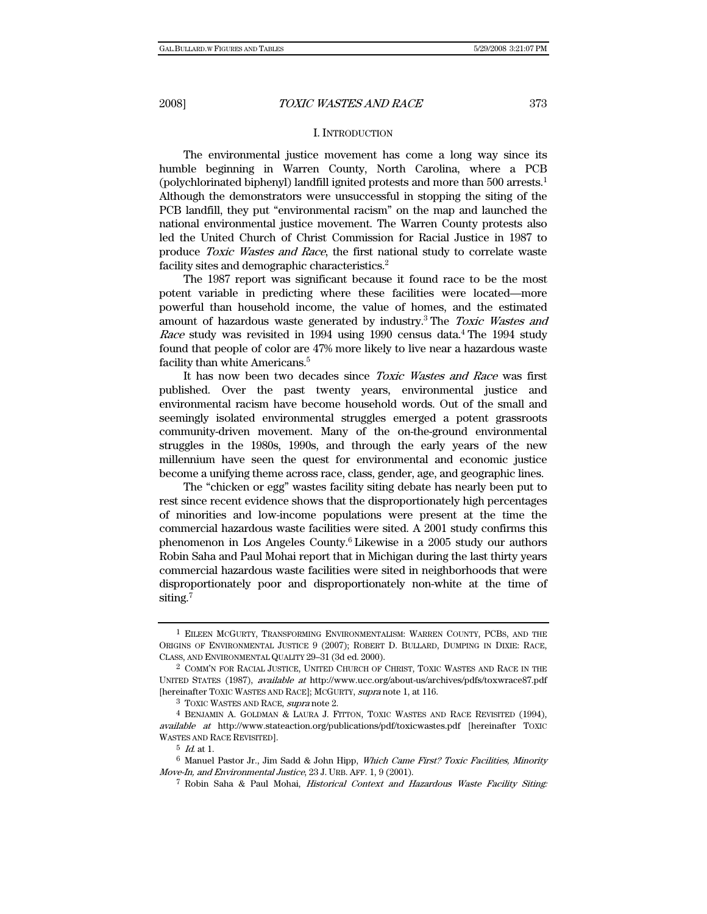# I. INTRODUCTION

The environmental justice movement has come a long way since its humble beginning in Warren County, North Carolina, where a PCB (polychlorinated biphenyl) landfill ignited protests and more than 500 arrests.1 Although the demonstrators were unsuccessful in stopping the siting of the PCB landfill, they put "environmental racism" on the map and launched the national environmental justice movement. The Warren County protests also led the United Church of Christ Commission for Racial Justice in 1987 to produce Toxic Wastes and Race, the first national study to correlate waste facility sites and demographic characteristics.<sup>2</sup>

The 1987 report was significant because it found race to be the most potent variable in predicting where these facilities were located—more powerful than household income, the value of homes, and the estimated amount of hazardous waste generated by industry.<sup>3</sup> The Toxic Wastes and Race study was revisited in 1994 using 1990 census data.<sup>4</sup> The 1994 study found that people of color are 47% more likely to live near a hazardous waste facility than white Americans.<sup>5</sup>

It has now been two decades since *Toxic Wastes and Race* was first published. Over the past twenty years, environmental justice and environmental racism have become household words. Out of the small and seemingly isolated environmental struggles emerged a potent grassroots community-driven movement. Many of the on-the-ground environmental struggles in the 1980s, 1990s, and through the early years of the new millennium have seen the quest for environmental and economic justice become a unifying theme across race, class, gender, age, and geographic lines.

The "chicken or egg" wastes facility siting debate has nearly been put to rest since recent evidence shows that the disproportionately high percentages of minorities and low-income populations were present at the time the commercial hazardous waste facilities were sited. A 2001 study confirms this phenomenon in Los Angeles County.<sup>6</sup> Likewise in a 2005 study our authors Robin Saha and Paul Mohai report that in Michigan during the last thirty years commercial hazardous waste facilities were sited in neighborhoods that were disproportionately poor and disproportionately non-white at the time of siting.<sup>7</sup>

<sup>1</sup> EILEEN MCGURTY, TRANSFORMING ENVIRONMENTALISM: WARREN COUNTY, PCBS, AND THE ORIGINS OF ENVIRONMENTAL JUSTICE 9 (2007); ROBERT D. BULLARD, DUMPING IN DIXIE: RACE, CLASS, AND ENVIRONMENTAL QUALITY 29–31 (3d ed. 2000).

<sup>2</sup> COMM'N FOR RACIAL JUSTICE, UNITED CHURCH OF CHRIST, TOXIC WASTES AND RACE IN THE UNITED STATES (1987), available at http://www.ucc.org/about-us/archives/pdfs/toxwrace87.pdf [hereinafter TOXIC WASTES AND RACE]; MCGURTY, supra note 1, at 116.

 $^3$  TOXIC WASTES AND RACE, supra note 2.  $^4$  BENJAMIN A. GOLDMAN & LAURA J. FITTON, TOXIC WASTES AND RACE REVISITED (1994), available at http://www.stateaction.org/publications/pdf/toxicwastes.pdf [hereinafter TOXIC WASTES AND RACE REVISITED].

 $5$  *Id.* at 1.

<sup>&</sup>lt;sup>6</sup> Manuel Pastor Jr., Jim Sadd & John Hipp, Which Came First? Toxic Facilities, Minority Move-In, and Environmental Justice, 23 J. URB. AFF. 1, 9 (2001).

<sup>7</sup> Robin Saha & Paul Mohai, Historical Context and Hazardous Waste Facility Siting: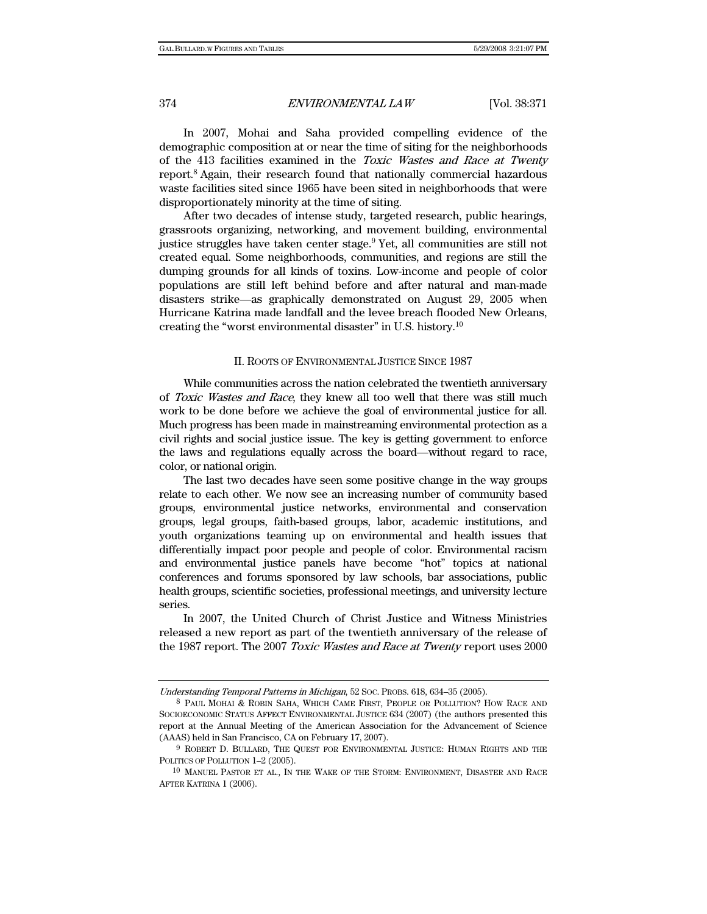In 2007, Mohai and Saha provided compelling evidence of the demographic composition at or near the time of siting for the neighborhoods of the 413 facilities examined in the Toxic Wastes and Race at Twenty report.<sup>8</sup> Again, their research found that nationally commercial hazardous waste facilities sited since 1965 have been sited in neighborhoods that were disproportionately minority at the time of siting.

After two decades of intense study, targeted research, public hearings, grassroots organizing, networking, and movement building, environmental justice struggles have taken center stage.<sup>9</sup> Yet, all communities are still not created equal. Some neighborhoods, communities, and regions are still the dumping grounds for all kinds of toxins. Low-income and people of color populations are still left behind before and after natural and man-made disasters strike—as graphically demonstrated on August 29, 2005 when Hurricane Katrina made landfall and the levee breach flooded New Orleans, creating the "worst environmental disaster" in U.S. history.10

### II. ROOTS OF ENVIRONMENTAL JUSTICE SINCE 1987

While communities across the nation celebrated the twentieth anniversary of Toxic Wastes and Race, they knew all too well that there was still much work to be done before we achieve the goal of environmental justice for all. Much progress has been made in mainstreaming environmental protection as a civil rights and social justice issue. The key is getting government to enforce the laws and regulations equally across the board—without regard to race, color, or national origin.

The last two decades have seen some positive change in the way groups relate to each other. We now see an increasing number of community based groups, environmental justice networks, environmental and conservation groups, legal groups, faith-based groups, labor, academic institutions, and youth organizations teaming up on environmental and health issues that differentially impact poor people and people of color. Environmental racism and environmental justice panels have become "hot" topics at national conferences and forums sponsored by law schools, bar associations, public health groups, scientific societies, professional meetings, and university lecture series.

In 2007, the United Church of Christ Justice and Witness Ministries released a new report as part of the twentieth anniversary of the release of the 1987 report. The 2007 Toxic Wastes and Race at Twenty report uses 2000

Understanding Temporal Patterns in Michigan, 52 SOC. PROBS. 618, 634–35 (2005).

<sup>8</sup> PAUL MOHAI & ROBIN SAHA, WHICH CAME FIRST, PEOPLE OR POLLUTION? HOW RACE AND SOCIOECONOMIC STATUS AFFECT ENVIRONMENTAL JUSTICE 634 (2007) (the authors presented this report at the Annual Meeting of the American Association for the Advancement of Science (AAAS) held in San Francisco, CA on February 17, 2007).

<sup>9</sup> ROBERT D. BULLARD, THE QUEST FOR ENVIRONMENTAL JUSTICE: HUMAN RIGHTS AND THE POLITICS OF POLLUTION 1–2 (2005).

<sup>10</sup> MANUEL PASTOR ET AL., IN THE WAKE OF THE STORM: ENVIRONMENT, DISASTER AND RACE AFTER KATRINA 1 (2006).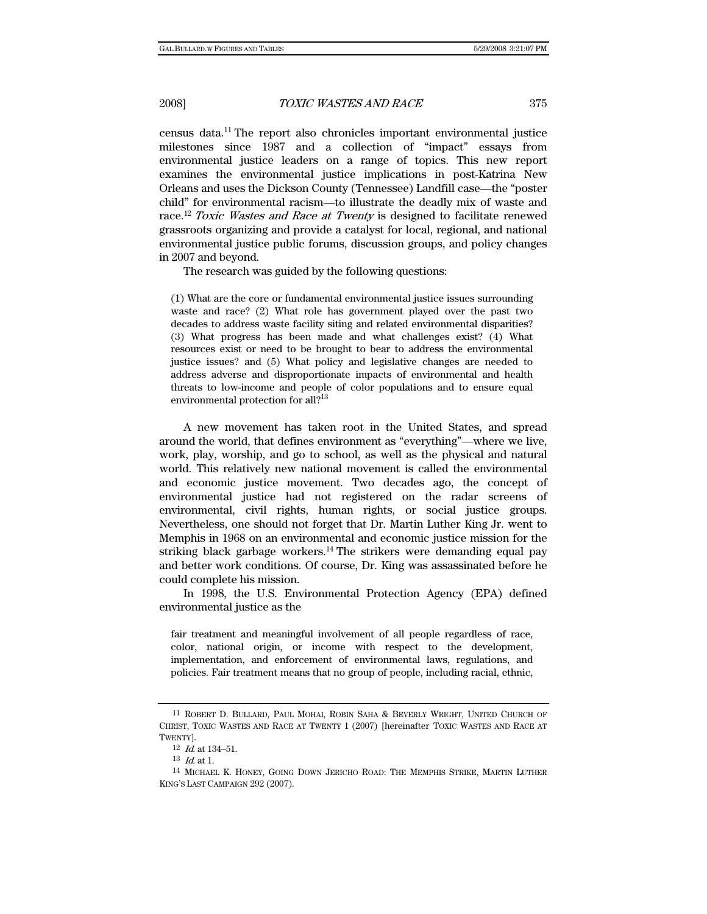census data.11 The report also chronicles important environmental justice milestones since 1987 and a collection of "impact" essays from environmental justice leaders on a range of topics. This new report examines the environmental justice implications in post-Katrina New Orleans and uses the Dickson County (Tennessee) Landfill case—the "poster child" for environmental racism—to illustrate the deadly mix of waste and race.12 Toxic Wastes and Race at Twenty is designed to facilitate renewed grassroots organizing and provide a catalyst for local, regional, and national environmental justice public forums, discussion groups, and policy changes in 2007 and beyond.

The research was guided by the following questions:

(1) What are the core or fundamental environmental justice issues surrounding waste and race? (2) What role has government played over the past two decades to address waste facility siting and related environmental disparities? (3) What progress has been made and what challenges exist? (4) What resources exist or need to be brought to bear to address the environmental justice issues? and (5) What policy and legislative changes are needed to address adverse and disproportionate impacts of environmental and health threats to low-income and people of color populations and to ensure equal environmental protection for all?13

A new movement has taken root in the United States, and spread around the world, that defines environment as "everything"—where we live, work, play, worship, and go to school, as well as the physical and natural world. This relatively new national movement is called the environmental and economic justice movement. Two decades ago, the concept of environmental justice had not registered on the radar screens of environmental, civil rights, human rights, or social justice groups. Nevertheless, one should not forget that Dr. Martin Luther King Jr. went to Memphis in 1968 on an environmental and economic justice mission for the striking black garbage workers.14 The strikers were demanding equal pay and better work conditions. Of course, Dr. King was assassinated before he could complete his mission.

In 1998, the U.S. Environmental Protection Agency (EPA) defined environmental justice as the

fair treatment and meaningful involvement of all people regardless of race, color, national origin, or income with respect to the development, implementation, and enforcement of environmental laws, regulations, and policies. Fair treatment means that no group of people, including racial, ethnic,

<sup>11</sup> ROBERT D. BULLARD, PAUL MOHAI, ROBIN SAHA & BEVERLY WRIGHT, UNITED CHURCH OF CHRIST, TOXIC WASTES AND RACE AT TWENTY 1 (2007) [hereinafter TOXIC WASTES AND RACE AT TWENTY].

<sup>12</sup> Id. at 134–51.

 $^{13}\,$   $\emph{Id}$  at 1.

<sup>14</sup> MICHAEL K. HONEY, GOING DOWN JERICHO ROAD: THE MEMPHIS STRIKE, MARTIN LUTHER KING'S LAST CAMPAIGN 292 (2007).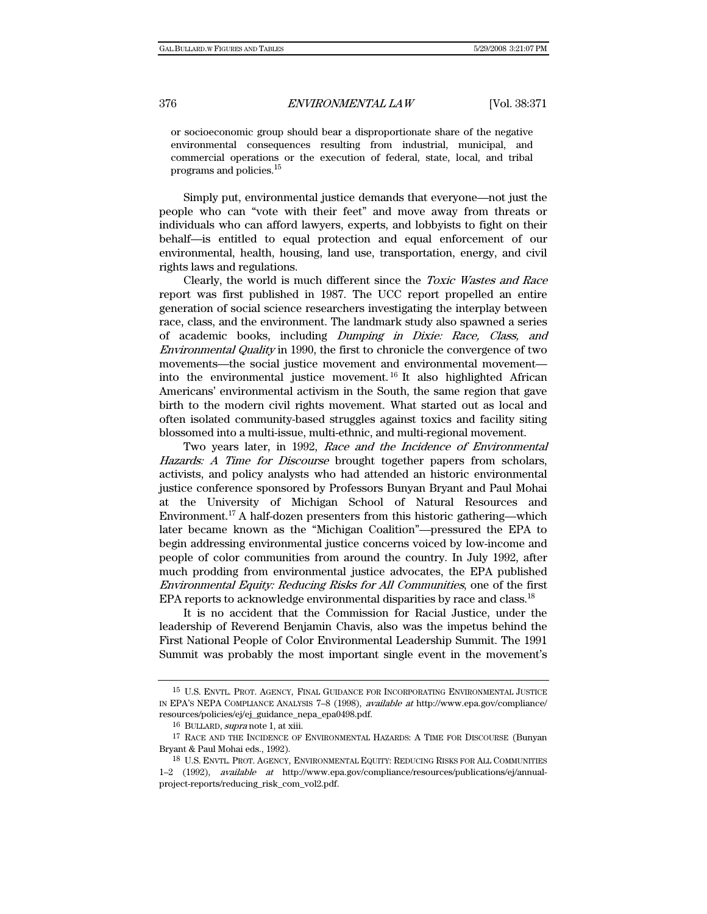or socioeconomic group should bear a disproportionate share of the negative environmental consequences resulting from industrial, municipal, and commercial operations or the execution of federal, state, local, and tribal programs and policies.15

Simply put, environmental justice demands that everyone—not just the people who can "vote with their feet" and move away from threats or individuals who can afford lawyers, experts, and lobbyists to fight on their behalf—is entitled to equal protection and equal enforcement of our environmental, health, housing, land use, transportation, energy, and civil rights laws and regulations.

Clearly, the world is much different since the Toxic Wastes and Race report was first published in 1987. The UCC report propelled an entire generation of social science researchers investigating the interplay between race, class, and the environment. The landmark study also spawned a series of academic books, including Dumping in Dixie: Race, Class, and Environmental Quality in 1990, the first to chronicle the convergence of two movements—the social justice movement and environmental movement into the environmental justice movement. 16 It also highlighted African Americans' environmental activism in the South, the same region that gave birth to the modern civil rights movement. What started out as local and often isolated community-based struggles against toxics and facility siting blossomed into a multi-issue, multi-ethnic, and multi-regional movement.

Two years later, in 1992, Race and the Incidence of Environmental Hazards: A Time for Discourse brought together papers from scholars, activists, and policy analysts who had attended an historic environmental justice conference sponsored by Professors Bunyan Bryant and Paul Mohai at the University of Michigan School of Natural Resources and Environment.17 A half-dozen presenters from this historic gathering—which later became known as the "Michigan Coalition"—pressured the EPA to begin addressing environmental justice concerns voiced by low-income and people of color communities from around the country. In July 1992, after much prodding from environmental justice advocates, the EPA published Environmental Equity: Reducing Risks for All Communities, one of the first EPA reports to acknowledge environmental disparities by race and class.<sup>18</sup>

It is no accident that the Commission for Racial Justice, under the leadership of Reverend Benjamin Chavis, also was the impetus behind the First National People of Color Environmental Leadership Summit. The 1991 Summit was probably the most important single event in the movement's

<sup>15</sup> U.S. ENVTL. PROT. AGENCY, FINAL GUIDANCE FOR INCORPORATING ENVIRONMENTAL JUSTICE IN EPA'S NEPA COMPLIANCE ANALYSIS 7–8 (1998), available at http://www.epa.gov/compliance/ resources/policies/ej/ej\_guidance\_nepa\_epa0498.pdf.

<sup>16</sup> BULLARD, supra note 1, at xiii.

<sup>17</sup> RACE AND THE INCIDENCE OF ENVIRONMENTAL HAZARDS: A TIME FOR DISCOURSE (Bunyan Bryant & Paul Mohai eds., 1992).

<sup>18</sup> U.S. ENVTL. PROT. AGENCY, ENVIRONMENTAL EQUITY: REDUCING RISKS FOR ALL COMMUNITIES 1–2 (1992), available at http://www.epa.gov/compliance/resources/publications/ej/annualproject-reports/reducing\_risk\_com\_vol2.pdf.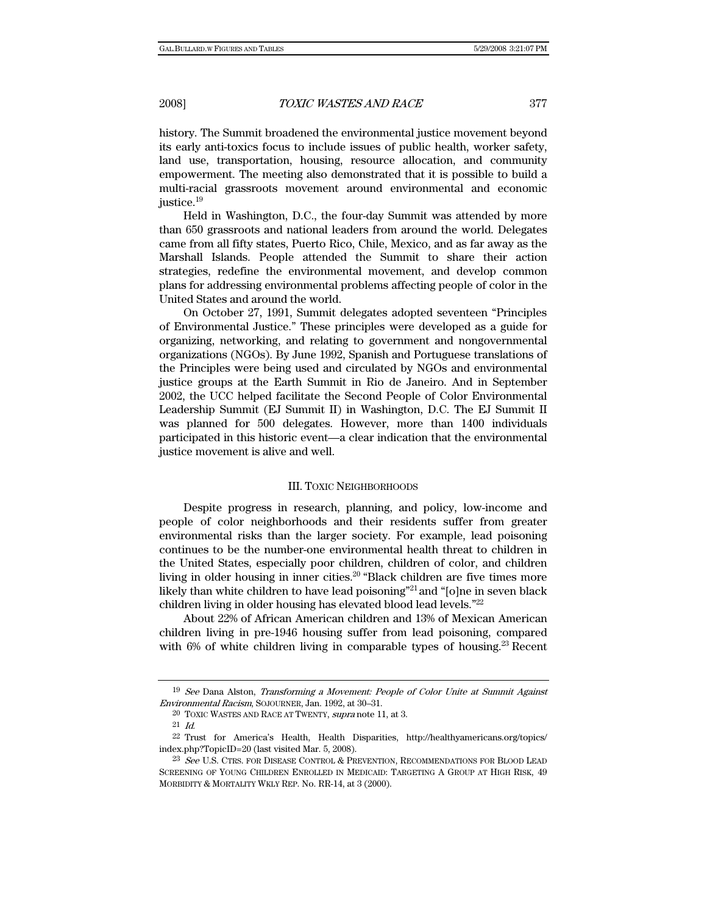history. The Summit broadened the environmental justice movement beyond its early anti-toxics focus to include issues of public health, worker safety, land use, transportation, housing, resource allocation, and community empowerment. The meeting also demonstrated that it is possible to build a multi-racial grassroots movement around environmental and economic justice.19

Held in Washington, D.C., the four-day Summit was attended by more than 650 grassroots and national leaders from around the world. Delegates came from all fifty states, Puerto Rico, Chile, Mexico, and as far away as the Marshall Islands. People attended the Summit to share their action strategies, redefine the environmental movement, and develop common plans for addressing environmental problems affecting people of color in the United States and around the world.

On October 27, 1991, Summit delegates adopted seventeen "Principles of Environmental Justice." These principles were developed as a guide for organizing, networking, and relating to government and nongovernmental organizations (NGOs). By June 1992, Spanish and Portuguese translations of the Principles were being used and circulated by NGOs and environmental justice groups at the Earth Summit in Rio de Janeiro. And in September 2002, the UCC helped facilitate the Second People of Color Environmental Leadership Summit (EJ Summit II) in Washington, D.C. The EJ Summit II was planned for 500 delegates. However, more than 1400 individuals participated in this historic event—a clear indication that the environmental justice movement is alive and well.

#### III. TOXIC NEIGHBORHOODS

Despite progress in research, planning, and policy, low-income and people of color neighborhoods and their residents suffer from greater environmental risks than the larger society. For example, lead poisoning continues to be the number-one environmental health threat to children in the United States, especially poor children, children of color, and children living in older housing in inner cities.<sup>20</sup> "Black children are five times more likely than white children to have lead poisoning<sup>"21</sup> and "[o]ne in seven black children living in older housing has elevated blood lead levels."22

About 22% of African American children and 13% of Mexican American children living in pre-1946 housing suffer from lead poisoning, compared with 6% of white children living in comparable types of housing.<sup>23</sup> Recent

<sup>19</sup> See Dana Alston, Transforming a Movement: People of Color Unite at Summit Against Environmental Racism, SOJOURNER, Jan. 1992, at 30–31.

 $20$  TOXIC WASTES AND RACE AT TWENTY, supra note 11, at 3.

<sup>21</sup> Id.

<sup>22</sup> Trust for America's Health, Health Disparities, http://healthyamericans.org/topics/ index.php?TopicID=20 (last visited Mar. 5, 2008).

<sup>&</sup>lt;sup>23</sup> See U.S. CTRS. FOR DISEASE CONTROL & PREVENTION, RECOMMENDATIONS FOR BLOOD LEAD SCREENING OF YOUNG CHILDREN ENROLLED IN MEDICAID: TARGETING A GROUP AT HIGH RISK, 49 MORBIDITY & MORTALITY WKLY REP. No. RR-14, at 3 (2000).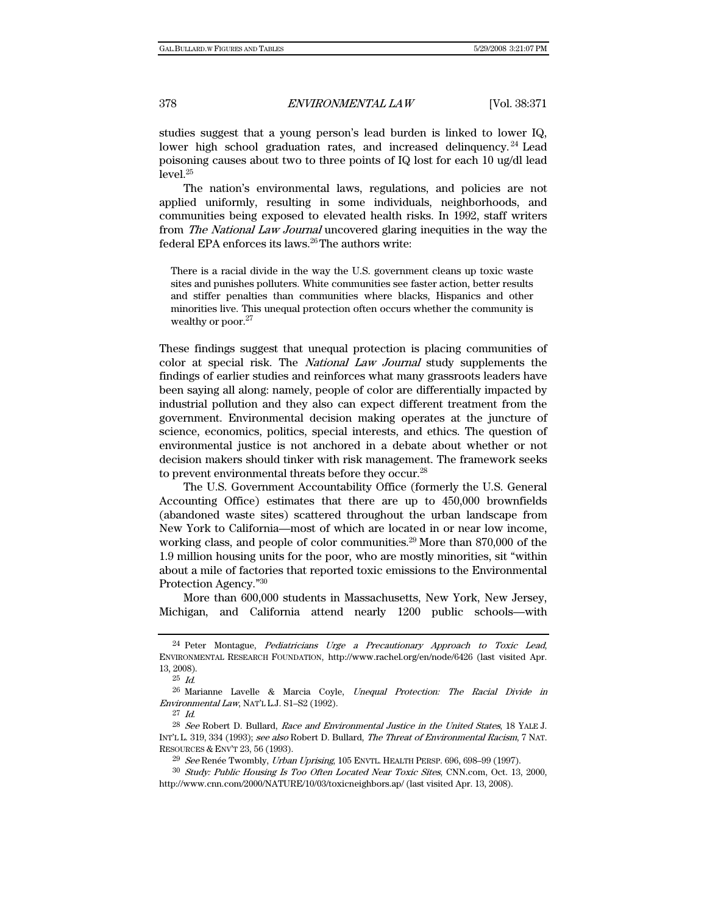studies suggest that a young person's lead burden is linked to lower IQ, lower high school graduation rates, and increased delinquency.<sup>24</sup> Lead poisoning causes about two to three points of IQ lost for each 10 ug/dl lead level.25

The nation's environmental laws, regulations, and policies are not applied uniformly, resulting in some individuals, neighborhoods, and communities being exposed to elevated health risks. In 1992, staff writers from The National Law Journal uncovered glaring inequities in the way the federal EPA enforces its laws.<sup>26</sup>The authors write:

There is a racial divide in the way the U.S. government cleans up toxic waste sites and punishes polluters. White communities see faster action, better results and stiffer penalties than communities where blacks, Hispanics and other minorities live. This unequal protection often occurs whether the community is wealthy or poor.<sup>27</sup>

These findings suggest that unequal protection is placing communities of color at special risk. The National Law Journal study supplements the findings of earlier studies and reinforces what many grassroots leaders have been saying all along: namely, people of color are differentially impacted by industrial pollution and they also can expect different treatment from the government. Environmental decision making operates at the juncture of science, economics, politics, special interests, and ethics. The question of environmental justice is not anchored in a debate about whether or not decision makers should tinker with risk management. The framework seeks to prevent environmental threats before they occur.<sup>28</sup>

The U.S. Government Accountability Office (formerly the U.S. General Accounting Office) estimates that there are up to 450,000 brownfields (abandoned waste sites) scattered throughout the urban landscape from New York to California—most of which are located in or near low income, working class, and people of color communities.<sup>29</sup> More than 870,000 of the 1.9 million housing units for the poor, who are mostly minorities, sit "within about a mile of factories that reported toxic emissions to the Environmental Protection Agency."30

More than 600,000 students in Massachusetts, New York, New Jersey, Michigan, and California attend nearly 1200 public schools—with

<sup>24</sup> Peter Montague, Pediatricians Urge a Precautionary Approach to Toxic Lead, ENVIRONMENTAL RESEARCH FOUNDATION, http://www.rachel.org/en/node/6426 (last visited Apr. 13, 2008).

 $25$  *Id.* 

<sup>26</sup> Marianne Lavelle & Marcia Coyle, Unequal Protection: The Racial Divide in Environmental Law, NAT'L L.J. S1–S2 (1992).

 $27$  Id.

<sup>28</sup> See Robert D. Bullard, Race and Environmental Justice in the United States, 18 YALE J. INT'L L. 319, 334 (1993); see also Robert D. Bullard, The Threat of Environmental Racism, 7 NAT. RESOURCES & ENV'T 23, 56 (1993).

<sup>&</sup>lt;sup>29</sup> See Renée Twombly, Urban Uprising, 105 ENVTL. HEALTH PERSP. 696, 698-99 (1997).

<sup>30</sup> Study: Public Housing Is Too Often Located Near Toxic Sites, CNN.com, Oct. 13, 2000, http://www.cnn.com/2000/NATURE/10/03/toxicneighbors.ap/ (last visited Apr. 13, 2008).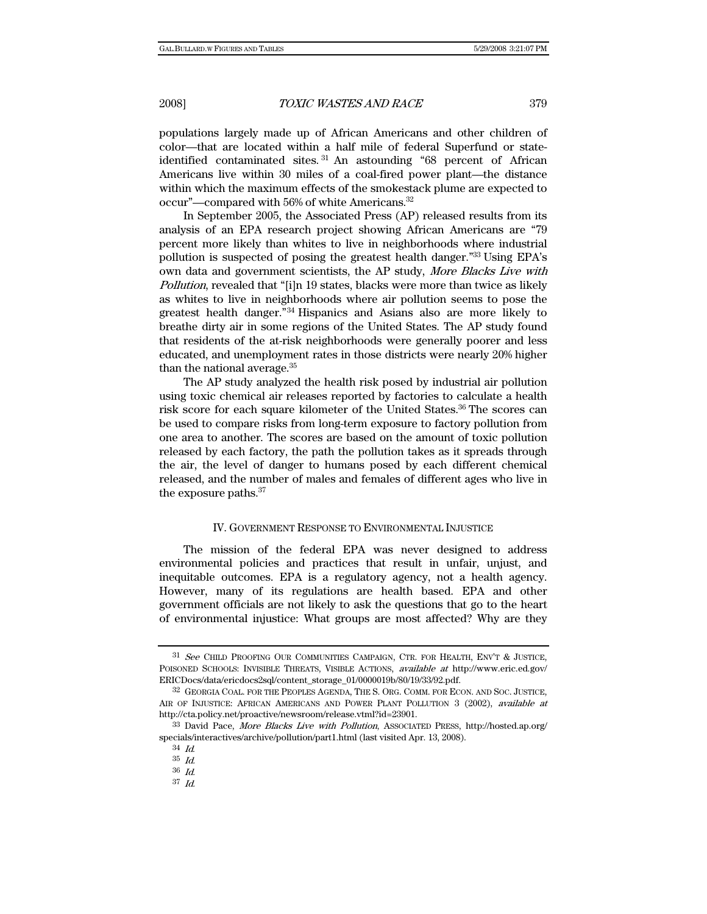populations largely made up of African Americans and other children of color—that are located within a half mile of federal Superfund or stateidentified contaminated sites. 31 An astounding "68 percent of African Americans live within 30 miles of a coal-fired power plant—the distance within which the maximum effects of the smokestack plume are expected to occur"—compared with 56% of white Americans.32

In September 2005, the Associated Press (AP) released results from its analysis of an EPA research project showing African Americans are "79 percent more likely than whites to live in neighborhoods where industrial pollution is suspected of posing the greatest health danger."33 Using EPA's own data and government scientists, the AP study, More Blacks Live with Pollution, revealed that "[i]n 19 states, blacks were more than twice as likely as whites to live in neighborhoods where air pollution seems to pose the greatest health danger."34 Hispanics and Asians also are more likely to breathe dirty air in some regions of the United States. The AP study found that residents of the at-risk neighborhoods were generally poorer and less educated, and unemployment rates in those districts were nearly 20% higher than the national average.35

The AP study analyzed the health risk posed by industrial air pollution using toxic chemical air releases reported by factories to calculate a health risk score for each square kilometer of the United States.<sup>36</sup> The scores can be used to compare risks from long-term exposure to factory pollution from one area to another. The scores are based on the amount of toxic pollution released by each factory, the path the pollution takes as it spreads through the air, the level of danger to humans posed by each different chemical released, and the number of males and females of different ages who live in the exposure paths.37

# IV. GOVERNMENT RESPONSE TO ENVIRONMENTAL INJUSTICE

The mission of the federal EPA was never designed to address environmental policies and practices that result in unfair, unjust, and inequitable outcomes. EPA is a regulatory agency, not a health agency. However, many of its regulations are health based. EPA and other government officials are not likely to ask the questions that go to the heart of environmental injustice: What groups are most affected? Why are they

<sup>&</sup>lt;sup>31</sup> See CHILD PROOFING OUR COMMUNITIES CAMPAIGN, CTR. FOR HEALTH, ENV'T & JUSTICE, POISONED SCHOOLS: INVISIBLE THREATS, VISIBLE ACTIONS, available at http://www.eric.ed.gov/ ERICDocs/data/ericdocs2sql/content\_storage\_01/0000019b/80/19/33/92.pdf.

<sup>32</sup> GEORGIA COAL. FOR THE PEOPLES AGENDA, THE S. ORG. COMM. FOR ECON. AND SOC. JUSTICE, AIR OF INJUSTICE: AFRICAN AMERICANS AND POWER PLANT POLLUTION 3 (2002), available at http://cta.policy.net/proactive/newsroom/release.vtml?id=23901.

<sup>33</sup> David Pace, More Blacks Live with Pollution, ASSOCIATED PRESS, http://hosted.ap.org/ specials/interactives/archive/pollution/part1.html (last visited Apr. 13, 2008).

<sup>34</sup> Id.

<sup>35</sup> Id.

<sup>36</sup> Id.

<sup>37</sup> Id.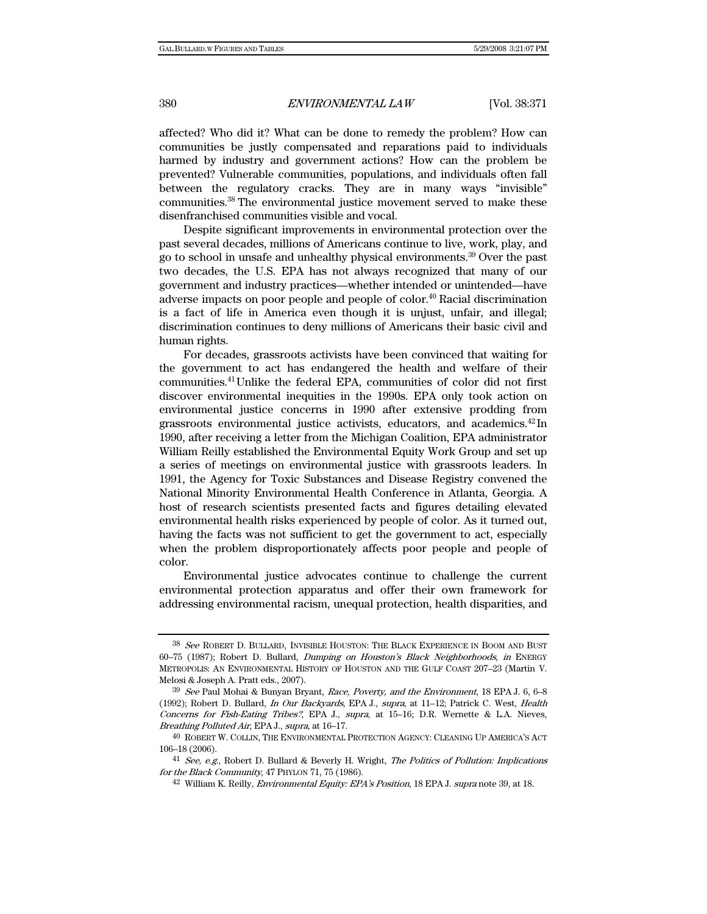affected? Who did it? What can be done to remedy the problem? How can communities be justly compensated and reparations paid to individuals harmed by industry and government actions? How can the problem be prevented? Vulnerable communities, populations, and individuals often fall between the regulatory cracks. They are in many ways "invisible" communities.38 The environmental justice movement served to make these disenfranchised communities visible and vocal.

Despite significant improvements in environmental protection over the past several decades, millions of Americans continue to live, work, play, and go to school in unsafe and unhealthy physical environments.39 Over the past two decades, the U.S. EPA has not always recognized that many of our government and industry practices—whether intended or unintended—have adverse impacts on poor people and people of color.<sup>40</sup> Racial discrimination is a fact of life in America even though it is unjust, unfair, and illegal; discrimination continues to deny millions of Americans their basic civil and human rights.

For decades, grassroots activists have been convinced that waiting for the government to act has endangered the health and welfare of their communities.41Unlike the federal EPA, communities of color did not first discover environmental inequities in the 1990s. EPA only took action on environmental justice concerns in 1990 after extensive prodding from grassroots environmental justice activists, educators, and academics.42 In 1990, after receiving a letter from the Michigan Coalition, EPA administrator William Reilly established the Environmental Equity Work Group and set up a series of meetings on environmental justice with grassroots leaders. In 1991, the Agency for Toxic Substances and Disease Registry convened the National Minority Environmental Health Conference in Atlanta, Georgia. A host of research scientists presented facts and figures detailing elevated environmental health risks experienced by people of color. As it turned out, having the facts was not sufficient to get the government to act, especially when the problem disproportionately affects poor people and people of color.

Environmental justice advocates continue to challenge the current environmental protection apparatus and offer their own framework for addressing environmental racism, unequal protection, health disparities, and

<sup>38</sup> See ROBERT D. BULLARD, INVISIBLE HOUSTON: THE BLACK EXPERIENCE IN BOOM AND BUST 60–75 (1987); Robert D. Bullard, Dumping on Houston's Black Neighborhoods, in ENERGY METROPOLIS: AN ENVIRONMENTAL HISTORY OF HOUSTON AND THE GULF COAST 207–23 (Martin V. Melosi & Joseph A. Pratt eds., 2007).

 $39$  See Paul Mohai & Bunyan Bryant, Race, Poverty, and the Environment, 18 EPA J. 6, 6–8 (1992); Robert D. Bullard, In Our Backyards, EPA J., supra, at 11–12; Patrick C. West, Health Concerns for Fish-Eating Tribes?, EPA J., supra, at 15–16; D.R. Wernette & L.A. Nieves, Breathing Polluted Air, EPA J., supra, at 16–17.

<sup>40</sup> ROBERT W. COLLIN, THE ENVIRONMENTAL PROTECTION AGENCY: CLEANING UP AMERICA'S ACT 106–18 (2006).

<sup>&</sup>lt;sup>41</sup> See, e.g., Robert D. Bullard & Beverly H. Wright, *The Politics of Pollution: Implications* for the Black Community, 47 PHYLON 71, 75 (1986).

<sup>42</sup> William K. Reilly, Environmental Equity: EPA's Position, 18 EPA J. supra note 39, at 18.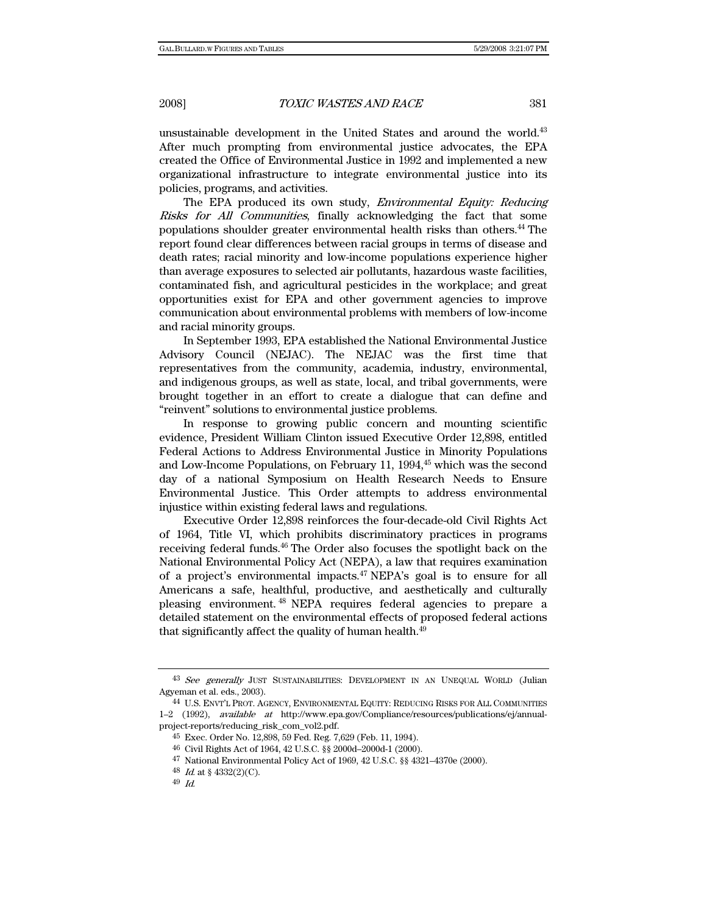unsustainable development in the United States and around the world.<sup>43</sup> After much prompting from environmental justice advocates, the EPA created the Office of Environmental Justice in 1992 and implemented a new organizational infrastructure to integrate environmental justice into its policies, programs, and activities.

The EPA produced its own study, Environmental Equity: Reducing Risks for All Communities, finally acknowledging the fact that some populations shoulder greater environmental health risks than others.44 The report found clear differences between racial groups in terms of disease and death rates; racial minority and low-income populations experience higher than average exposures to selected air pollutants, hazardous waste facilities, contaminated fish, and agricultural pesticides in the workplace; and great opportunities exist for EPA and other government agencies to improve communication about environmental problems with members of low-income and racial minority groups.

In September 1993, EPA established the National Environmental Justice Advisory Council (NEJAC). The NEJAC was the first time that representatives from the community, academia, industry, environmental, and indigenous groups, as well as state, local, and tribal governments, were brought together in an effort to create a dialogue that can define and "reinvent" solutions to environmental justice problems.

In response to growing public concern and mounting scientific evidence, President William Clinton issued Executive Order 12,898, entitled Federal Actions to Address Environmental Justice in Minority Populations and Low-Income Populations, on February 11, 1994,<sup>45</sup> which was the second day of a national Symposium on Health Research Needs to Ensure Environmental Justice. This Order attempts to address environmental injustice within existing federal laws and regulations.

Executive Order 12,898 reinforces the four-decade-old Civil Rights Act of 1964, Title VI, which prohibits discriminatory practices in programs receiving federal funds.<sup>46</sup> The Order also focuses the spotlight back on the National Environmental Policy Act (NEPA), a law that requires examination of a project's environmental impacts.47 NEPA's goal is to ensure for all Americans a safe, healthful, productive, and aesthetically and culturally pleasing environment. 48 NEPA requires federal agencies to prepare a detailed statement on the environmental effects of proposed federal actions that significantly affect the quality of human health.<sup>49</sup>

<sup>43</sup> See generally JUST SUSTAINABILITIES: DEVELOPMENT IN AN UNEQUAL WORLD (Julian Agyeman et al. eds., 2003).

<sup>44</sup> U.S. ENVT'L PROT. AGENCY, ENVIRONMENTAL EQUITY: REDUCING RISKS FOR ALL COMMUNITIES 1–2 (1992), available at http://www.epa.gov/Compliance/resources/publications/ej/annualproject-reports/reducing\_risk\_com\_vol2.pdf.

<sup>45</sup> Exec. Order No. 12,898, 59 Fed. Reg. 7,629 (Feb. 11, 1994).

<sup>46</sup> Civil Rights Act of 1964, 42 U.S.C. §§ 2000d–2000d-1 (2000).

<sup>47</sup> National Environmental Policy Act of 1969, 42 U.S.C. §§ 4321–4370e (2000).

<sup>48</sup> *Id.* at  $$4332(2)(C)$ .

<sup>49</sup> Id.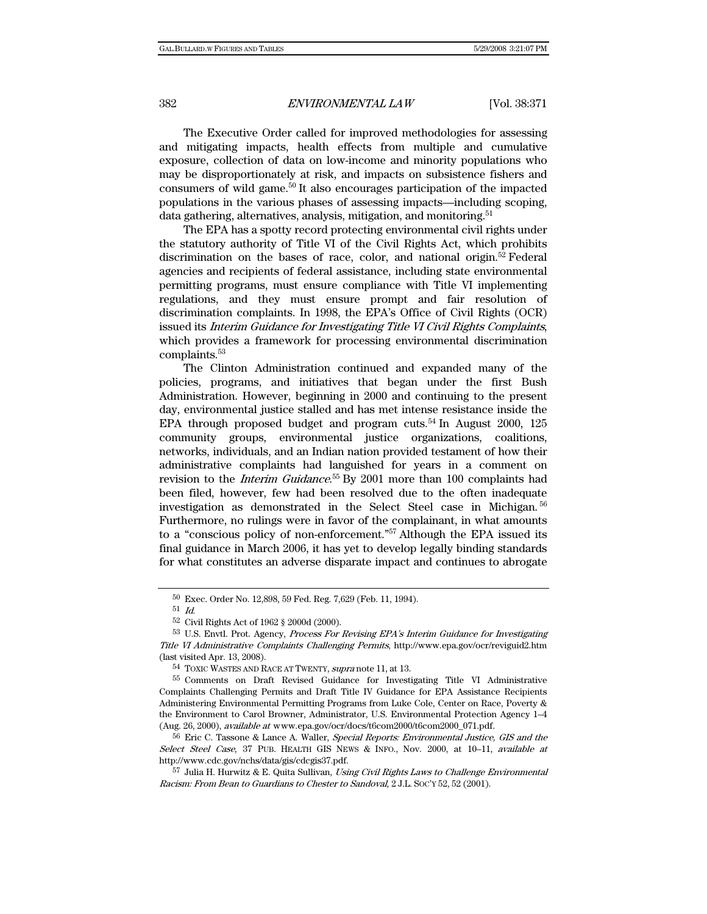The Executive Order called for improved methodologies for assessing and mitigating impacts, health effects from multiple and cumulative exposure, collection of data on low-income and minority populations who may be disproportionately at risk, and impacts on subsistence fishers and consumers of wild game.50 It also encourages participation of the impacted populations in the various phases of assessing impacts—including scoping, data gathering, alternatives, analysis, mitigation, and monitoring.<sup>51</sup>

The EPA has a spotty record protecting environmental civil rights under the statutory authority of Title VI of the Civil Rights Act, which prohibits discrimination on the bases of race, color, and national origin.<sup>52</sup> Federal agencies and recipients of federal assistance, including state environmental permitting programs, must ensure compliance with Title VI implementing regulations, and they must ensure prompt and fair resolution of discrimination complaints. In 1998, the EPA's Office of Civil Rights (OCR) issued its Interim Guidance for Investigating Title VI Civil Rights Complaints, which provides a framework for processing environmental discrimination complaints.53

The Clinton Administration continued and expanded many of the policies, programs, and initiatives that began under the first Bush Administration. However, beginning in 2000 and continuing to the present day, environmental justice stalled and has met intense resistance inside the EPA through proposed budget and program cuts.<sup>54</sup> In August 2000, 125 community groups, environmental justice organizations, coalitions, networks, individuals, and an Indian nation provided testament of how their administrative complaints had languished for years in a comment on revision to the *Interim Guidance*.<sup>55</sup> By 2001 more than 100 complaints had been filed, however, few had been resolved due to the often inadequate investigation as demonstrated in the Select Steel case in Michigan. <sup>56</sup> Furthermore, no rulings were in favor of the complainant, in what amounts to a "conscious policy of non-enforcement."57 Although the EPA issued its final guidance in March 2006, it has yet to develop legally binding standards for what constitutes an adverse disparate impact and continues to abrogate

<sup>50</sup> Exec. Order No. 12,898, 59 Fed. Reg. 7,629 (Feb. 11, 1994).

<sup>51</sup> Id.

<sup>52</sup> Civil Rights Act of 1962 § 2000d (2000).

 <sup>53</sup> U.S. Envtl. Prot. Agency, Process For Revising EPA's Interim Guidance for Investigating Title VI Administrative Complaints Challenging Permits, http://www.epa.gov/ocr/reviguid2.htm (last visited Apr. 13, 2008).

<sup>54</sup> TOXIC WASTES AND RACE AT TWENTY, supra note 11, at 13.

<sup>55</sup> Comments on Draft Revised Guidance for Investigating Title VI Administrative Complaints Challenging Permits and Draft Title IV Guidance for EPA Assistance Recipients Administering Environmental Permitting Programs from Luke Cole, Center on Race, Poverty & the Environment to Carol Browner, Administrator, U.S. Environmental Protection Agency 1–4 (Aug. 26, 2000), available at www.epa.gov/ocr/docs/t6com2000/t6com2000\_071.pdf.

<sup>&</sup>lt;sup>56</sup> Eric C. Tassone & Lance A. Waller, Special Reports: Environmental Justice, GIS and the Select Steel Case, 37 PUB. HEALTH GIS NEWS & INFO., Nov. 2000, at 10-11, available at http://www.cdc.gov/nchs/data/gis/cdcgis37.pdf.

<sup>57</sup> Julia H. Hurwitz & E. Quita Sullivan, Using Civil Rights Laws to Challenge Environmental Racism: From Bean to Guardians to Chester to Sandoval, 2 J.L. SOC'Y 52, 52 (2001).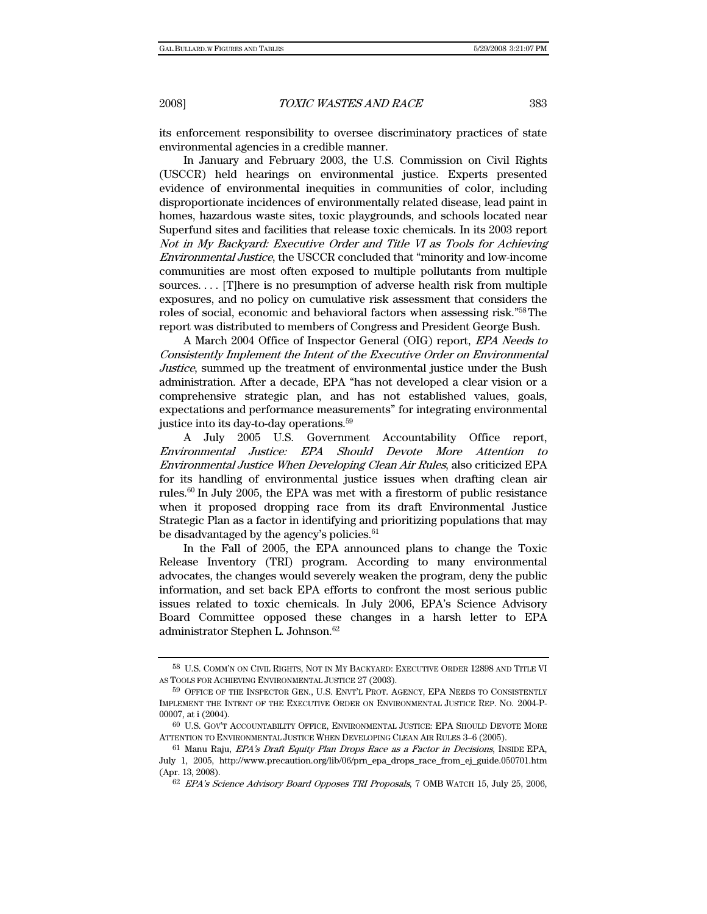its enforcement responsibility to oversee discriminatory practices of state environmental agencies in a credible manner.

In January and February 2003, the U.S. Commission on Civil Rights (USCCR) held hearings on environmental justice. Experts presented evidence of environmental inequities in communities of color, including disproportionate incidences of environmentally related disease, lead paint in homes, hazardous waste sites, toxic playgrounds, and schools located near Superfund sites and facilities that release toxic chemicals. In its 2003 report Not in My Backyard: Executive Order and Title VI as Tools for Achieving Environmental Justice, the USCCR concluded that "minority and low-income communities are most often exposed to multiple pollutants from multiple sources. . . . [T]here is no presumption of adverse health risk from multiple exposures, and no policy on cumulative risk assessment that considers the roles of social, economic and behavioral factors when assessing risk."58The report was distributed to members of Congress and President George Bush.

A March 2004 Office of Inspector General (OIG) report, EPA Needs to Consistently Implement the Intent of the Executive Order on Environmental Justice, summed up the treatment of environmental justice under the Bush administration. After a decade, EPA "has not developed a clear vision or a comprehensive strategic plan, and has not established values, goals, expectations and performance measurements" for integrating environmental justice into its day-to-day operations.59

A July 2005 U.S. Government Accountability Office report, Environmental Justice: EPA Should Devote More Attention to Environmental Justice When Developing Clean Air Rules, also criticized EPA for its handling of environmental justice issues when drafting clean air rules.60 In July 2005, the EPA was met with a firestorm of public resistance when it proposed dropping race from its draft Environmental Justice Strategic Plan as a factor in identifying and prioritizing populations that may be disadvantaged by the agency's policies.<sup>61</sup>

In the Fall of 2005, the EPA announced plans to change the Toxic Release Inventory (TRI) program. According to many environmental advocates, the changes would severely weaken the program, deny the public information, and set back EPA efforts to confront the most serious public issues related to toxic chemicals. In July 2006, EPA's Science Advisory Board Committee opposed these changes in a harsh letter to EPA administrator Stephen L. Johnson.62

<sup>58</sup> U.S. COMM'N ON CIVIL RIGHTS, NOT IN MY BACKYARD: EXECUTIVE ORDER 12898 AND TITLE VI AS TOOLS FOR ACHIEVING ENVIRONMENTAL JUSTICE 27 (2003).

<sup>59</sup> OFFICE OF THE INSPECTOR GEN., U.S. ENVT'L PROT. AGENCY, EPA NEEDS TO CONSISTENTLY IMPLEMENT THE INTENT OF THE EXECUTIVE ORDER ON ENVIRONMENTAL JUSTICE REP. NO. 2004-P-00007, at i (2004).

<sup>60</sup> U.S. GOV'T ACCOUNTABILITY OFFICE, ENVIRONMENTAL JUSTICE: EPA SHOULD DEVOTE MORE ATTENTION TO ENVIRONMENTAL JUSTICE WHEN DEVELOPING CLEAN AIR RULES 3–6 (2005).

<sup>&</sup>lt;sup>61</sup> Manu Raju, *EPA's Draft Equity Plan Drops Race as a Factor in Decisions*, INSIDE EPA, July 1, 2005, http://www.precaution.org/lib/06/prn\_epa\_drops\_race\_from\_ej\_guide.050701.htm (Apr. 13, 2008).

<sup>62</sup> EPA's Science Advisory Board Opposes TRI Proposals, 7 OMB WATCH 15, July 25, 2006,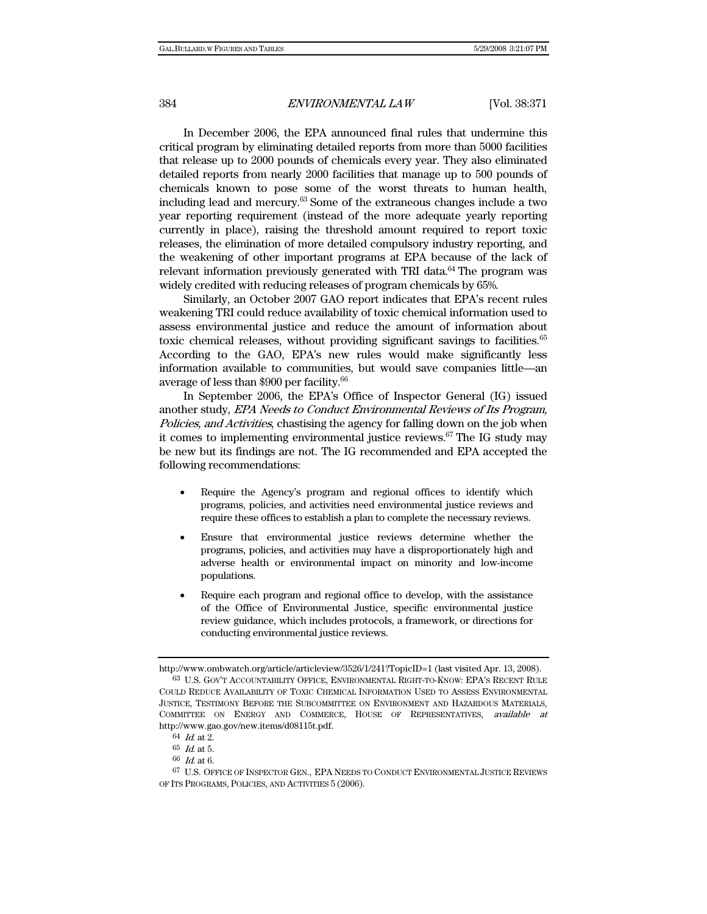In December 2006, the EPA announced final rules that undermine this critical program by eliminating detailed reports from more than 5000 facilities that release up to 2000 pounds of chemicals every year. They also eliminated detailed reports from nearly 2000 facilities that manage up to 500 pounds of chemicals known to pose some of the worst threats to human health, including lead and mercury.63 Some of the extraneous changes include a two year reporting requirement (instead of the more adequate yearly reporting currently in place), raising the threshold amount required to report toxic releases, the elimination of more detailed compulsory industry reporting, and the weakening of other important programs at EPA because of the lack of relevant information previously generated with TRI data. $64$  The program was widely credited with reducing releases of program chemicals by 65%.

Similarly, an October 2007 GAO report indicates that EPA's recent rules weakening TRI could reduce availability of toxic chemical information used to assess environmental justice and reduce the amount of information about toxic chemical releases, without providing significant savings to facilities.<sup>65</sup> According to the GAO, EPA's new rules would make significantly less information available to communities, but would save companies little—an average of less than \$900 per facility.66

In September 2006, the EPA's Office of Inspector General (IG) issued another study, EPA Needs to Conduct Environmental Reviews of Its Program, Policies, and Activities, chastising the agency for falling down on the job when it comes to implementing environmental justice reviews.<sup>67</sup> The IG study may be new but its findings are not. The IG recommended and EPA accepted the following recommendations:

- Require the Agency's program and regional offices to identify which programs, policies, and activities need environmental justice reviews and require these offices to establish a plan to complete the necessary reviews.
- Ensure that environmental justice reviews determine whether the programs, policies, and activities may have a disproportionately high and adverse health or environmental impact on minority and low-income populations.
- Require each program and regional office to develop, with the assistance of the Office of Environmental Justice, specific environmental justice review guidance, which includes protocols, a framework, or directions for conducting environmental justice reviews.

http://www.ombwatch.org/article/articleview/3526/1/241?TopicID=1 (last visited Apr. 13, 2008). 63 U.S. GOV'T ACCOUNTABILITY OFFICE, ENVIRONMENTAL RIGHT-TO-KNOW: EPA'S RECENT RULE COULD REDUCE AVAILABILITY OF TOXIC CHEMICAL INFORMATION USED TO ASSESS ENVIRONMENTAL

JUSTICE, TESTIMONY BEFORE THE SUBCOMMITTEE ON ENVIRONMENT AND HAZARDOUS MATERIALS, COMMITTEE ON ENERGY AND COMMERCE, HOUSE OF REPRESENTATIVES, available at http://www.gao.gov/new.items/d08115t.pdf.

<sup>64</sup> Id. at 2.

 $65\,$  Id. at 5.

 $66\,$   $\emph{Id.}$  at 6.

<sup>67</sup> U.S. OFFICE OF INSPECTOR GEN., EPA NEEDS TO CONDUCT ENVIRONMENTAL JUSTICE REVIEWS OF ITS PROGRAMS, POLICIES, AND ACTIVITIES 5 (2006).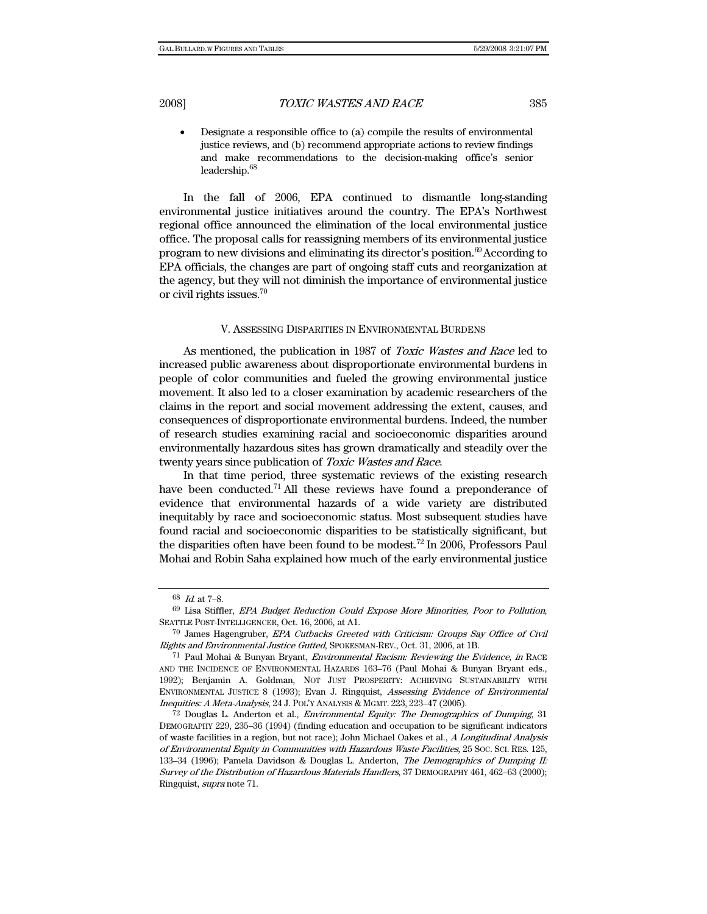• Designate a responsible office to (a) compile the results of environmental justice reviews, and (b) recommend appropriate actions to review findings and make recommendations to the decision-making office's senior leadership.68

In the fall of 2006, EPA continued to dismantle long-standing environmental justice initiatives around the country. The EPA's Northwest regional office announced the elimination of the local environmental justice office. The proposal calls for reassigning members of its environmental justice program to new divisions and eliminating its director's position.<sup>69</sup>According to EPA officials, the changes are part of ongoing staff cuts and reorganization at the agency, but they will not diminish the importance of environmental justice or civil rights issues.70

#### V. ASSESSING DISPARITIES IN ENVIRONMENTAL BURDENS

As mentioned, the publication in 1987 of Toxic Wastes and Race led to increased public awareness about disproportionate environmental burdens in people of color communities and fueled the growing environmental justice movement. It also led to a closer examination by academic researchers of the claims in the report and social movement addressing the extent, causes, and consequences of disproportionate environmental burdens. Indeed, the number of research studies examining racial and socioeconomic disparities around environmentally hazardous sites has grown dramatically and steadily over the twenty years since publication of Toxic Wastes and Race.

In that time period, three systematic reviews of the existing research have been conducted.<sup>71</sup> All these reviews have found a preponderance of evidence that environmental hazards of a wide variety are distributed inequitably by race and socioeconomic status. Most subsequent studies have found racial and socioeconomic disparities to be statistically significant, but the disparities often have been found to be modest.72 In 2006, Professors Paul Mohai and Robin Saha explained how much of the early environmental justice

<sup>68</sup> Id. at 7–8.

<sup>69</sup> Lisa Stiffler, EPA Budget Reduction Could Expose More Minorities, Poor to Pollution, SEATTLE POST-INTELLIGENCER, Oct. 16, 2006, at A1.

<sup>70</sup> James Hagengruber, EPA Cutbacks Greeted with Criticism: Groups Say Office of Civil Rights and Environmental Justice Gutted, SPOKESMAN-REV., Oct. 31, 2006, at 1B.

<sup>71</sup> Paul Mohai & Bunyan Bryant, Environmental Racism: Reviewing the Evidence, in RACE AND THE INCIDENCE OF ENVIRONMENTAL HAZARDS 163–76 (Paul Mohai & Bunyan Bryant eds., 1992); Benjamin A. Goldman, NOT JUST PROSPERITY: ACHIEVING SUSTAINABILITY WITH ENVIRONMENTAL JUSTICE 8 (1993); Evan J. Ringquist, Assessing Evidence of Environmental Inequities: A Meta-Analysis, 24 J. POL'Y ANALYSIS & MGMT. 223, 223–47 (2005).

 $72$  Douglas L. Anderton et al., *Environmental Equity: The Demographics of Dumping*, 31 DEMOGRAPHY 229, 235–36 (1994) (finding education and occupation to be significant indicators of waste facilities in a region, but not race); John Michael Oakes et al., A Longitudinal Analysis of Environmental Equity in Communities with Hazardous Waste Facilities, 25 SOC. SCI. RES. 125, 133-34 (1996); Pamela Davidson & Douglas L. Anderton, The Demographics of Dumping II: Survey of the Distribution of Hazardous Materials Handlers, 37 DEMOGRAPHY 461, 462–63 (2000); Ringquist, supra note 71.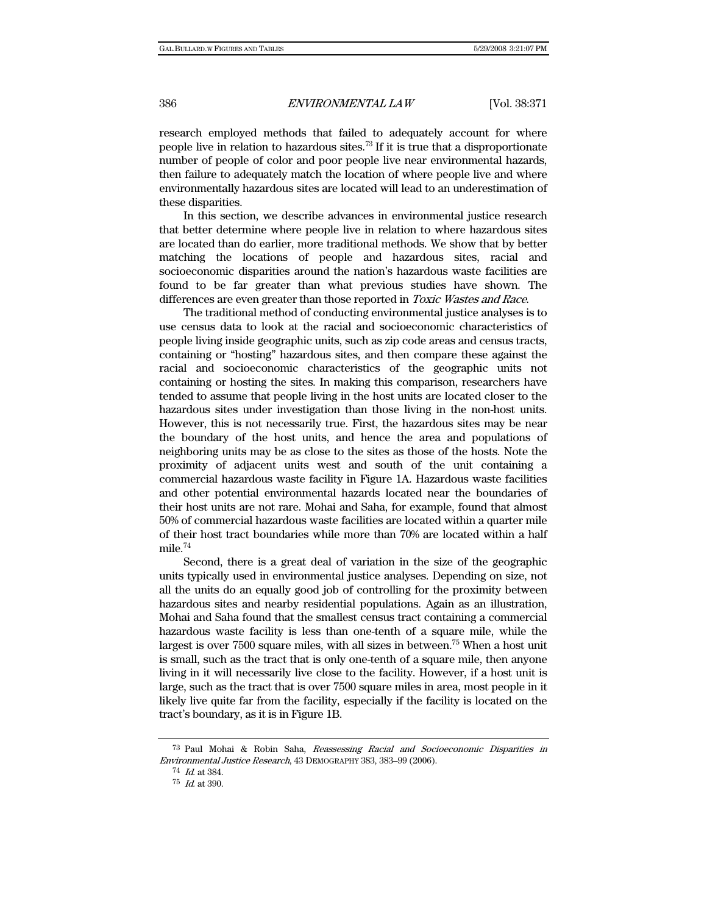research employed methods that failed to adequately account for where people live in relation to hazardous sites.73 If it is true that a disproportionate number of people of color and poor people live near environmental hazards, then failure to adequately match the location of where people live and where environmentally hazardous sites are located will lead to an underestimation of these disparities.

In this section, we describe advances in environmental justice research that better determine where people live in relation to where hazardous sites are located than do earlier, more traditional methods. We show that by better matching the locations of people and hazardous sites, racial and socioeconomic disparities around the nation's hazardous waste facilities are found to be far greater than what previous studies have shown. The differences are even greater than those reported in Toxic Wastes and Race.

The traditional method of conducting environmental justice analyses is to use census data to look at the racial and socioeconomic characteristics of people living inside geographic units, such as zip code areas and census tracts, containing or "hosting" hazardous sites, and then compare these against the racial and socioeconomic characteristics of the geographic units not containing or hosting the sites. In making this comparison, researchers have tended to assume that people living in the host units are located closer to the hazardous sites under investigation than those living in the non-host units. However, this is not necessarily true. First, the hazardous sites may be near the boundary of the host units, and hence the area and populations of neighboring units may be as close to the sites as those of the hosts. Note the proximity of adjacent units west and south of the unit containing a commercial hazardous waste facility in Figure 1A. Hazardous waste facilities and other potential environmental hazards located near the boundaries of their host units are not rare. Mohai and Saha, for example, found that almost 50% of commercial hazardous waste facilities are located within a quarter mile of their host tract boundaries while more than 70% are located within a half mile.74

Second, there is a great deal of variation in the size of the geographic units typically used in environmental justice analyses. Depending on size, not all the units do an equally good job of controlling for the proximity between hazardous sites and nearby residential populations. Again as an illustration, Mohai and Saha found that the smallest census tract containing a commercial hazardous waste facility is less than one-tenth of a square mile, while the largest is over 7500 square miles, with all sizes in between.75 When a host unit is small, such as the tract that is only one-tenth of a square mile, then anyone living in it will necessarily live close to the facility. However, if a host unit is large, such as the tract that is over 7500 square miles in area, most people in it likely live quite far from the facility, especially if the facility is located on the tract's boundary, as it is in Figure 1B.

<sup>73</sup> Paul Mohai & Robin Saha, Reassessing Racial and Socioeconomic Disparities in Environmental Justice Research, 43 DEMOGRAPHY 383, 383–99 (2006).

 $^{74}\,$   $\emph{Id.}$  at 384.

<sup>75</sup> Id. at 390.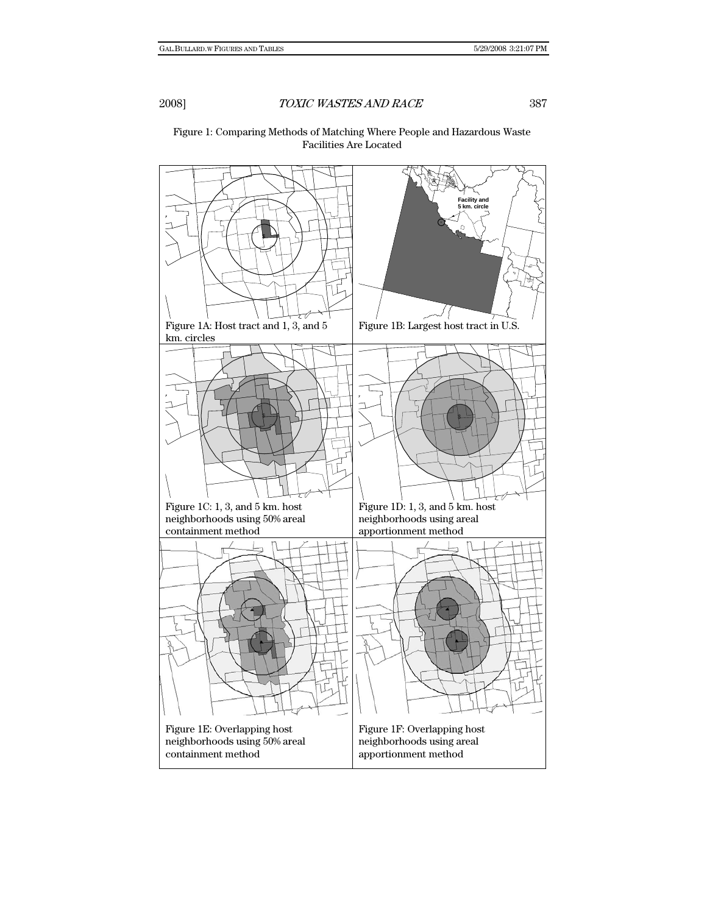\$ **Facility and 5 km. circle** Figure 1A: Host tract and 1, 3, and 5 km. circles Figure 1B: Largest host tract in U.S.  $\frac{1}{2}$   $\frac{1}{2}$   $\frac{1}{2}$   $\frac{1}{2}$   $\frac{1}{2}$   $\frac{1}{2}$   $\frac{1}{2}$   $\frac{1}{2}$   $\frac{1}{2}$   $\frac{1}{2}$   $\frac{1}{2}$   $\frac{1}{2}$   $\frac{1}{2}$   $\frac{1}{2}$   $\frac{1}{2}$   $\frac{1}{2}$   $\frac{1}{2}$   $\frac{1}{2}$   $\frac{1}{2}$   $\frac{1}{2}$   $\frac{1}{2}$   $\frac{1}{2}$  Figure 1C: 1, 3, and 5 km. host neighborhoods using 50% areal containment method Figure 1D: 1, 3, and 5 km. host neighborhoods using areal apportionment method Figure 1E: Overlapping host neighborhoods using 50% areal containment method Figure 1F: Overlapping host neighborhoods using areal apportionment method

# Figure 1: Comparing Methods of Matching Where People and Hazardous Waste Facilities Are Located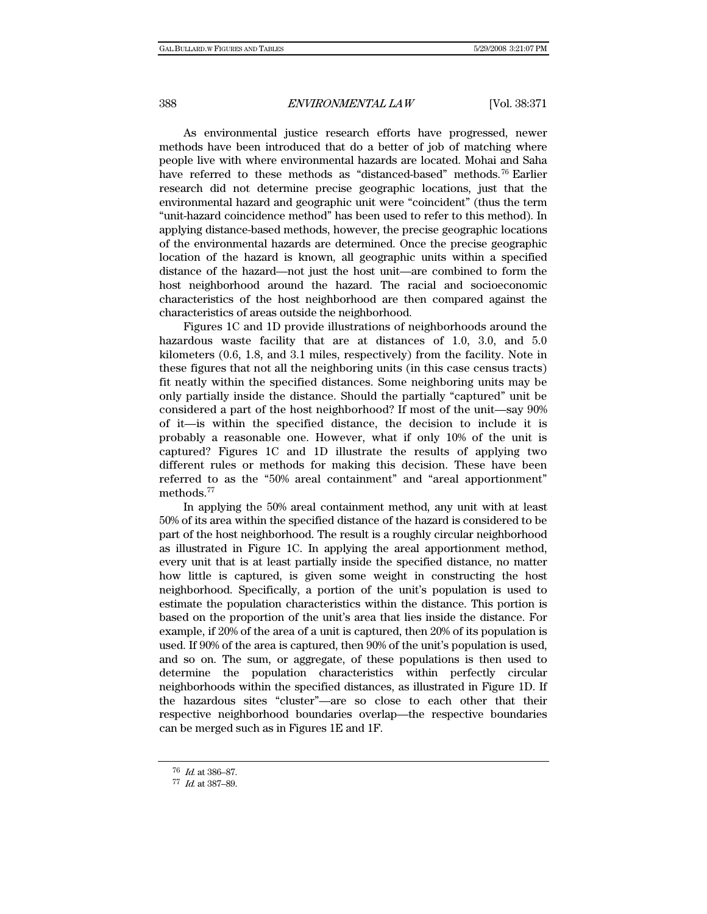As environmental justice research efforts have progressed, newer methods have been introduced that do a better of job of matching where people live with where environmental hazards are located. Mohai and Saha have referred to these methods as "distanced-based" methods.<sup>76</sup> Earlier research did not determine precise geographic locations, just that the environmental hazard and geographic unit were "coincident" (thus the term "unit-hazard coincidence method" has been used to refer to this method). In applying distance-based methods, however, the precise geographic locations of the environmental hazards are determined. Once the precise geographic location of the hazard is known, all geographic units within a specified distance of the hazard—not just the host unit—are combined to form the host neighborhood around the hazard. The racial and socioeconomic characteristics of the host neighborhood are then compared against the characteristics of areas outside the neighborhood.

Figures 1C and 1D provide illustrations of neighborhoods around the hazardous waste facility that are at distances of 1.0, 3.0, and 5.0 kilometers (0.6, 1.8, and 3.1 miles, respectively) from the facility. Note in these figures that not all the neighboring units (in this case census tracts) fit neatly within the specified distances. Some neighboring units may be only partially inside the distance. Should the partially "captured" unit be considered a part of the host neighborhood? If most of the unit—say 90% of it—is within the specified distance, the decision to include it is probably a reasonable one. However, what if only 10% of the unit is captured? Figures 1C and 1D illustrate the results of applying two different rules or methods for making this decision. These have been referred to as the "50% areal containment" and "areal apportionment" methods.77

In applying the 50% areal containment method, any unit with at least 50% of its area within the specified distance of the hazard is considered to be part of the host neighborhood. The result is a roughly circular neighborhood as illustrated in Figure 1C. In applying the areal apportionment method, every unit that is at least partially inside the specified distance, no matter how little is captured, is given some weight in constructing the host neighborhood. Specifically, a portion of the unit's population is used to estimate the population characteristics within the distance. This portion is based on the proportion of the unit's area that lies inside the distance. For example, if 20% of the area of a unit is captured, then 20% of its population is used. If 90% of the area is captured, then 90% of the unit's population is used, and so on. The sum, or aggregate, of these populations is then used to determine the population characteristics within perfectly circular neighborhoods within the specified distances, as illustrated in Figure 1D. If the hazardous sites "cluster"—are so close to each other that their respective neighborhood boundaries overlap—the respective boundaries can be merged such as in Figures 1E and 1F.

<sup>76</sup> Id. at 386–87.

<sup>77</sup> Id. at 387–89.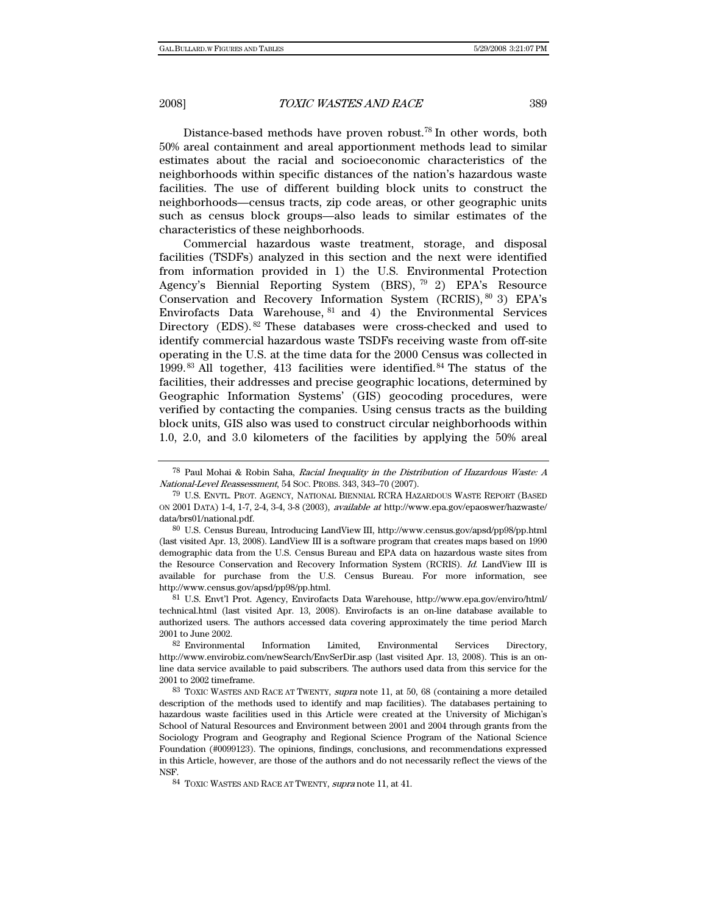Distance-based methods have proven robust.<sup>78</sup> In other words, both 50% areal containment and areal apportionment methods lead to similar estimates about the racial and socioeconomic characteristics of the neighborhoods within specific distances of the nation's hazardous waste facilities. The use of different building block units to construct the neighborhoods—census tracts, zip code areas, or other geographic units such as census block groups—also leads to similar estimates of the characteristics of these neighborhoods.

Commercial hazardous waste treatment, storage, and disposal facilities (TSDFs) analyzed in this section and the next were identified from information provided in 1) the U.S. Environmental Protection Agency's Biennial Reporting System (BRS), 79 2) EPA's Resource Conservation and Recovery Information System (RCRIS), 80 3) EPA's Envirofacts Data Warehouse, 81 and 4) the Environmental Services Directory (EDS). <sup>82</sup> These databases were cross-checked and used to identify commercial hazardous waste TSDFs receiving waste from off-site operating in the U.S. at the time data for the 2000 Census was collected in 1999.  $83$  All together, 413 facilities were identified.  $84$  The status of the facilities, their addresses and precise geographic locations, determined by Geographic Information Systems' (GIS) geocoding procedures, were verified by contacting the companies. Using census tracts as the building block units, GIS also was used to construct circular neighborhoods within 1.0, 2.0, and 3.0 kilometers of the facilities by applying the 50% areal

<sup>78</sup> Paul Mohai & Robin Saha, Racial Inequality in the Distribution of Hazardous Waste: A National-Level Reassessment, 54 SOC. PROBS. 343, 343–70 (2007).

<sup>79</sup> U.S. ENVTL. PROT. AGENCY, NATIONAL BIENNIAL RCRA HAZARDOUS WASTE REPORT (BASED ON 2001 DATA) 1-4, 1-7, 2-4, 3-4, 3-8 (2003), available at http://www.epa.gov/epaoswer/hazwaste/ data/brs01/national.pdf.

<sup>80</sup> U.S. Census Bureau, Introducing LandView III, http://www.census.gov/apsd/pp98/pp.html (last visited Apr. 13, 2008). LandView III is a software program that creates maps based on 1990 demographic data from the U.S. Census Bureau and EPA data on hazardous waste sites from the Resource Conservation and Recovery Information System (RCRIS). Id. LandView III is available for purchase from the U.S. Census Bureau. For more information, see http://www.census.gov/apsd/pp98/pp.html.

<sup>81</sup> U.S. Envt'l Prot. Agency, Envirofacts Data Warehouse, http://www.epa.gov/enviro/html/ technical.html (last visited Apr. 13, 2008). Envirofacts is an on-line database available to authorized users. The authors accessed data covering approximately the time period March 2001 to June 2002.

<sup>82</sup> Environmental Information Limited, Environmental Services Directory, http://www.envirobiz.com/newSearch/EnvSerDir.asp (last visited Apr. 13, 2008). This is an online data service available to paid subscribers. The authors used data from this service for the 2001 to 2002 timeframe.

<sup>83</sup> TOXIC WASTES AND RACE AT TWENTY, supra note 11, at 50, 68 (containing a more detailed description of the methods used to identify and map facilities). The databases pertaining to hazardous waste facilities used in this Article were created at the University of Michigan's School of Natural Resources and Environment between 2001 and 2004 through grants from the Sociology Program and Geography and Regional Science Program of the National Science Foundation (#0099123). The opinions, findings, conclusions, and recommendations expressed in this Article, however, are those of the authors and do not necessarily reflect the views of the NSF.

<sup>84</sup> TOXIC WASTES AND RACE AT TWENTY, supra note 11, at 41.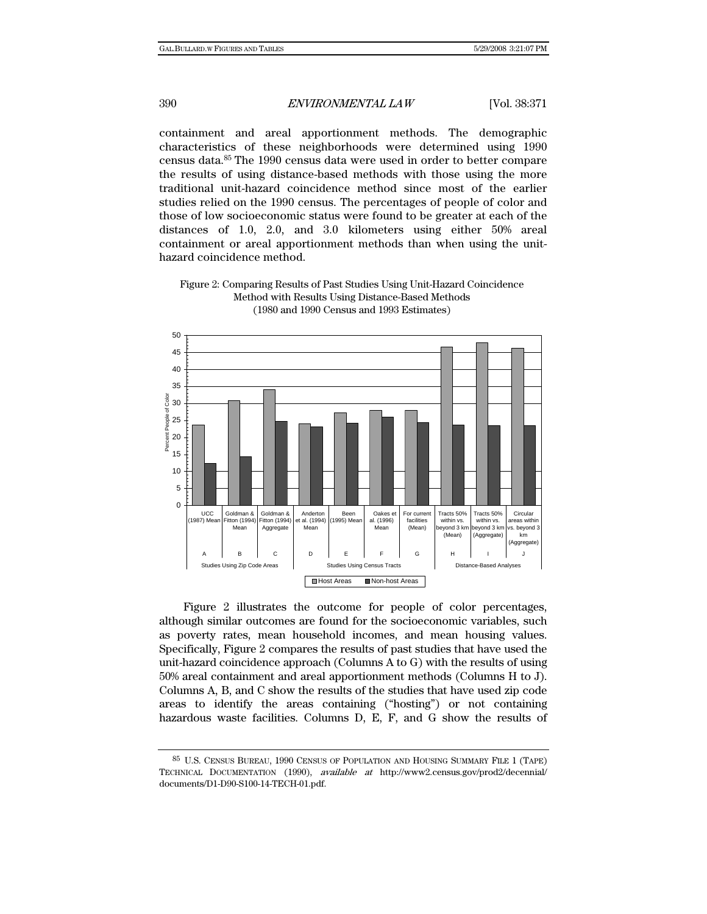containment and areal apportionment methods. The demographic characteristics of these neighborhoods were determined using 1990 census data.85 The 1990 census data were used in order to better compare the results of using distance-based methods with those using the more traditional unit-hazard coincidence method since most of the earlier studies relied on the 1990 census. The percentages of people of color and those of low socioeconomic status were found to be greater at each of the distances of 1.0, 2.0, and 3.0 kilometers using either 50% areal containment or areal apportionment methods than when using the unithazard coincidence method.



Figure 2: Comparing Results of Past Studies Using Unit-Hazard Coincidence Method with Results Using Distance-Based Methods (1980 and 1990 Census and 1993 Estimates)

Figure 2 illustrates the outcome for people of color percentages, although similar outcomes are found for the socioeconomic variables, such as poverty rates, mean household incomes, and mean housing values. Specifically, Figure 2 compares the results of past studies that have used the unit-hazard coincidence approach (Columns A to G) with the results of using 50% areal containment and areal apportionment methods (Columns H to J). Columns A, B, and C show the results of the studies that have used zip code areas to identify the areas containing ("hosting") or not containing hazardous waste facilities. Columns D, E, F, and G show the results of

<sup>85</sup> U.S. CENSUS BUREAU, 1990 CENSUS OF POPULATION AND HOUSING SUMMARY FILE 1 (TAPE) TECHNICAL DOCUMENTATION (1990), available at http://www2.census.gov/prod2/decennial/ documents/D1-D90-S100-14-TECH-01.pdf.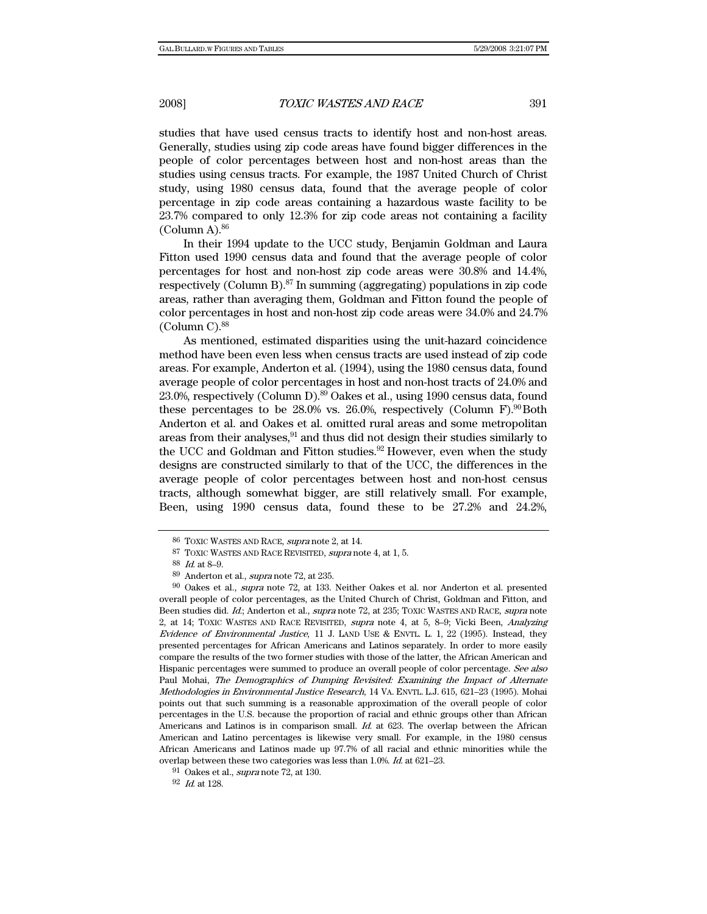studies that have used census tracts to identify host and non-host areas. Generally, studies using zip code areas have found bigger differences in the people of color percentages between host and non-host areas than the studies using census tracts. For example, the 1987 United Church of Christ study, using 1980 census data, found that the average people of color percentage in zip code areas containing a hazardous waste facility to be 23.7% compared to only 12.3% for zip code areas not containing a facility  $(Column A)<sup>86</sup>$ 

In their 1994 update to the UCC study, Benjamin Goldman and Laura Fitton used 1990 census data and found that the average people of color percentages for host and non-host zip code areas were 30.8% and 14.4%, respectively (Column B).<sup>87</sup> In summing (aggregating) populations in zip code areas, rather than averaging them, Goldman and Fitton found the people of color percentages in host and non-host zip code areas were 34.0% and 24.7%  $(Column C).$ <sup>88</sup>

As mentioned, estimated disparities using the unit-hazard coincidence method have been even less when census tracts are used instead of zip code areas. For example, Anderton et al. (1994), using the 1980 census data, found average people of color percentages in host and non-host tracts of 24.0% and 23.0%, respectively (Column D).89 Oakes et al., using 1990 census data, found these percentages to be  $28.0\%$  vs.  $26.0\%$ , respectively (Column F).<sup>90</sup>Both Anderton et al. and Oakes et al. omitted rural areas and some metropolitan areas from their analyses,<sup>91</sup> and thus did not design their studies similarly to the UCC and Goldman and Fitton studies.<sup>92</sup> However, even when the study designs are constructed similarly to that of the UCC, the differences in the average people of color percentages between host and non-host census tracts, although somewhat bigger, are still relatively small. For example, Been, using 1990 census data, found these to be 27.2% and 24.2%,

<sup>86</sup> TOXIC WASTES AND RACE, supra note 2, at 14.

<sup>87</sup> TOXIC WASTES AND RACE REVISITED, supra note 4, at 1, 5.

<sup>88</sup> Id. at 8–9.

<sup>89</sup> Anderton et al., supra note 72, at 235.

<sup>90</sup> Oakes et al., supra note 72, at 133. Neither Oakes et al. nor Anderton et al. presented overall people of color percentages, as the United Church of Christ, Goldman and Fitton, and Been studies did. Id.; Anderton et al., supra note 72, at 235; TOXIC WASTES AND RACE, supra note 2, at 14; TOXIC WASTES AND RACE REVISITED, supra note 4, at 5, 8–9; Vicki Been, Analyzing Evidence of Environmental Justice, 11 J. LAND USE & ENVTL. L. 1, 22 (1995). Instead, they presented percentages for African Americans and Latinos separately. In order to more easily compare the results of the two former studies with those of the latter, the African American and Hispanic percentages were summed to produce an overall people of color percentage. See also Paul Mohai, The Demographics of Dumping Revisited: Examining the Impact of Alternate Methodologies in Environmental Justice Research, 14 VA. ENVTL. L.J. 615, 621–23 (1995). Mohai points out that such summing is a reasonable approximation of the overall people of color percentages in the U.S. because the proportion of racial and ethnic groups other than African Americans and Latinos is in comparison small. Id. at 623. The overlap between the African American and Latino percentages is likewise very small. For example, in the 1980 census African Americans and Latinos made up 97.7% of all racial and ethnic minorities while the overlap between these two categories was less than 1.0%. Id. at 621–23.

<sup>91</sup> Oakes et al., supra note 72, at 130.

<sup>92</sup> Id. at 128.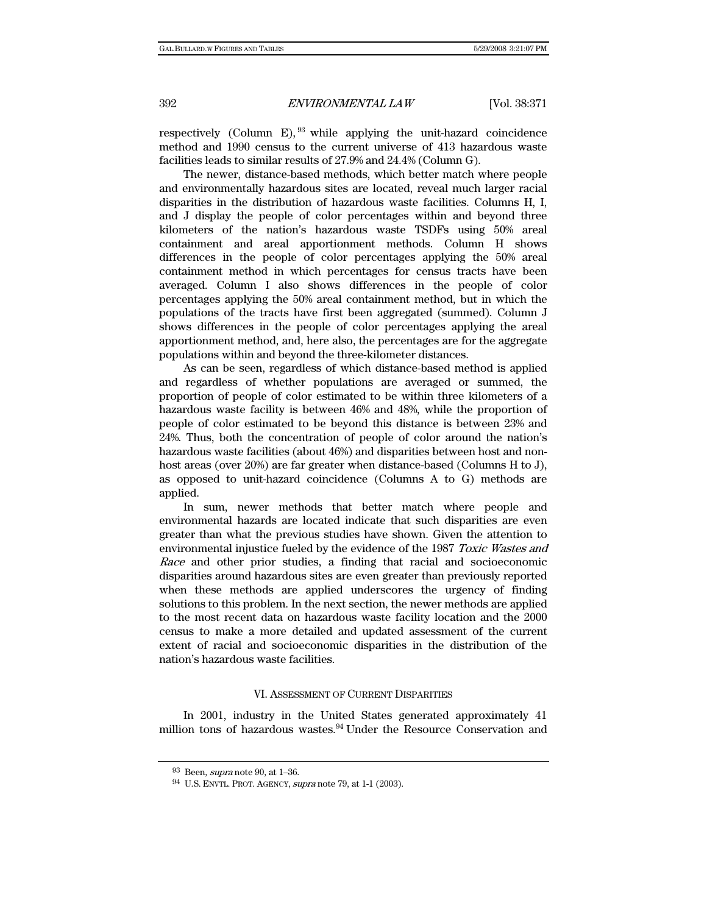respectively (Column E),  $93$  while applying the unit-hazard coincidence method and 1990 census to the current universe of 413 hazardous waste facilities leads to similar results of 27.9% and 24.4% (Column G).

The newer, distance-based methods, which better match where people and environmentally hazardous sites are located, reveal much larger racial disparities in the distribution of hazardous waste facilities. Columns H, I, and J display the people of color percentages within and beyond three kilometers of the nation's hazardous waste TSDFs using 50% areal containment and areal apportionment methods. Column H shows differences in the people of color percentages applying the 50% areal containment method in which percentages for census tracts have been averaged. Column I also shows differences in the people of color percentages applying the 50% areal containment method, but in which the populations of the tracts have first been aggregated (summed). Column J shows differences in the people of color percentages applying the areal apportionment method, and, here also, the percentages are for the aggregate populations within and beyond the three-kilometer distances.

As can be seen, regardless of which distance-based method is applied and regardless of whether populations are averaged or summed, the proportion of people of color estimated to be within three kilometers of a hazardous waste facility is between 46% and 48%, while the proportion of people of color estimated to be beyond this distance is between 23% and 24%. Thus, both the concentration of people of color around the nation's hazardous waste facilities (about 46%) and disparities between host and nonhost areas (over 20%) are far greater when distance-based (Columns H to J), as opposed to unit-hazard coincidence (Columns A to G) methods are applied.

In sum, newer methods that better match where people and environmental hazards are located indicate that such disparities are even greater than what the previous studies have shown. Given the attention to environmental injustice fueled by the evidence of the 1987 Toxic Wastes and Race and other prior studies, a finding that racial and socioeconomic disparities around hazardous sites are even greater than previously reported when these methods are applied underscores the urgency of finding solutions to this problem. In the next section, the newer methods are applied to the most recent data on hazardous waste facility location and the 2000 census to make a more detailed and updated assessment of the current extent of racial and socioeconomic disparities in the distribution of the nation's hazardous waste facilities.

#### VI. ASSESSMENT OF CURRENT DISPARITIES

In 2001, industry in the United States generated approximately 41 million tons of hazardous wastes.<sup>94</sup> Under the Resource Conservation and

<sup>93</sup> Been, supra note 90, at 1–36.

<sup>94</sup> U.S. ENVTL. PROT. AGENCY, supra note 79, at 1-1 (2003).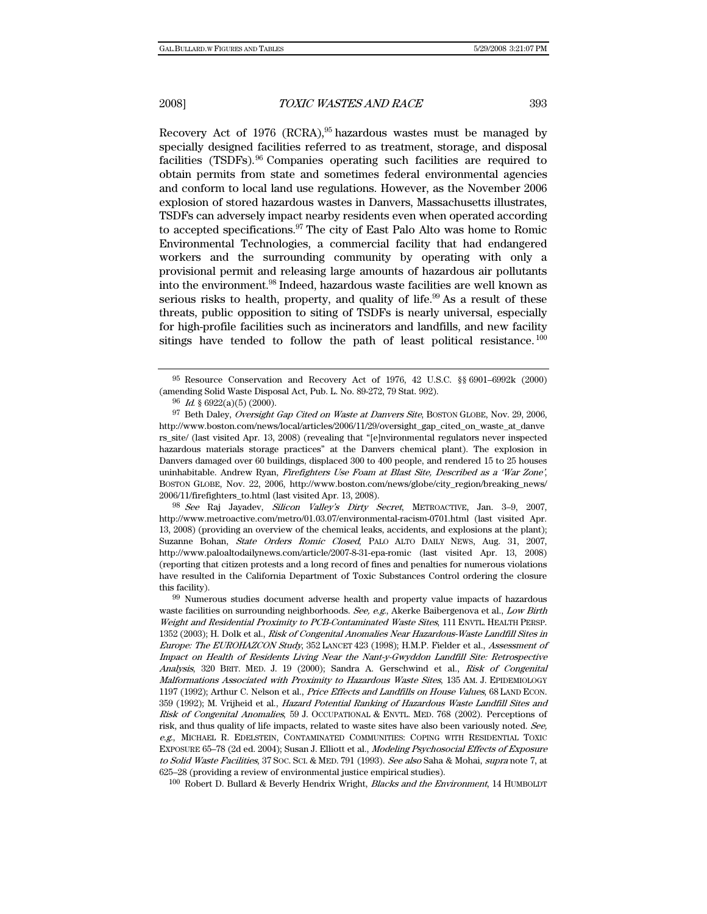Recovery Act of 1976 (RCRA), $95$  hazardous wastes must be managed by specially designed facilities referred to as treatment, storage, and disposal facilities (TSDFs).96 Companies operating such facilities are required to obtain permits from state and sometimes federal environmental agencies and conform to local land use regulations. However, as the November 2006 explosion of stored hazardous wastes in Danvers, Massachusetts illustrates, TSDFs can adversely impact nearby residents even when operated according to accepted specifications.97 The city of East Palo Alto was home to Romic Environmental Technologies, a commercial facility that had endangered workers and the surrounding community by operating with only a provisional permit and releasing large amounts of hazardous air pollutants into the environment.98 Indeed, hazardous waste facilities are well known as serious risks to health, property, and quality of life.<sup>99</sup> As a result of these threats, public opposition to siting of TSDFs is nearly universal, especially for high-profile facilities such as incinerators and landfills, and new facility sitings have tended to follow the path of least political resistance.<sup>100</sup>

98 See Raj Jayadev, Silicon Valley's Dirty Secret, METROACTIVE, Jan. 3–9, 2007, http://www.metroactive.com/metro/01.03.07/environmental-racism-0701.html (last visited Apr. 13, 2008) (providing an overview of the chemical leaks, accidents, and explosions at the plant); Suzanne Bohan, State Orders Romic Closed, PALO ALTO DAILY NEWS, Aug. 31, 2007, http://www.paloaltodailynews.com/article/2007-8-31-epa-romic (last visited Apr. 13, 2008) (reporting that citizen protests and a long record of fines and penalties for numerous violations have resulted in the California Department of Toxic Substances Control ordering the closure this facility).

<sup>100</sup> Robert D. Bullard & Beverly Hendrix Wright, *Blacks and the Environment*, 14 HUMBOLDT

<sup>95</sup> Resource Conservation and Recovery Act of 1976, 42 U.S.C. §§ 6901–6992k (2000) (amending Solid Waste Disposal Act, Pub. L. No. 89-272, 79 Stat. 992).

 $96$  *Id.* § 6922(a)(5) (2000).

<sup>97</sup> Beth Daley, Oversight Gap Cited on Waste at Danvers Site, BOSTON GLOBE, Nov. 29, 2006, http://www.boston.com/news/local/articles/2006/11/29/oversight\_gap\_cited\_on\_waste\_at\_danve rs\_site/ (last visited Apr. 13, 2008) (revealing that "[e]nvironmental regulators never inspected hazardous materials storage practices" at the Danvers chemical plant). The explosion in Danvers damaged over 60 buildings, displaced 300 to 400 people, and rendered 15 to 25 houses uninhabitable. Andrew Ryan, Firefighters Use Foam at Blast Site, Described as a 'War Zone', BOSTON GLOBE, Nov. 22, 2006, http://www.boston.com/news/globe/city\_region/breaking\_news/ 2006/11/firefighters\_to.html (last visited Apr. 13, 2008).

<sup>99</sup> Numerous studies document adverse health and property value impacts of hazardous waste facilities on surrounding neighborhoods. See, e.g., Akerke Baibergenova et al., Low Birth Weight and Residential Proximity to PCB-Contaminated Waste Sites, 111 ENVTL. HEALTH PERSP. 1352 (2003); H. Dolk et al., Risk of Congenital Anomalies Near Hazardous-Waste Landfill Sites in Europe: The EUROHAZCON Study, 352 LANCET 423 (1998); H.M.P. Fielder et al., Assessment of Impact on Health of Residents Living Near the Nant-y-Gwyddon Landfill Site: Retrospective Analysis, 320 BRIT. MED. J. 19 (2000); Sandra A. Gerschwind et al., Risk of Congenital Malformations Associated with Proximity to Hazardous Waste Sites, 135 AM. J. EPIDEMIOLOGY 1197 (1992); Arthur C. Nelson et al., Price Effects and Landfills on House Values, 68 LAND ECON. 359 (1992); M. Vrijheid et al., Hazard Potential Ranking of Hazardous Waste Landfill Sites and Risk of Congenital Anomalies, 59 J. OCCUPATIONAL & ENVTL. MED. 768 (2002). Perceptions of risk, and thus quality of life impacts, related to waste sites have also been variously noted. See, e.g., MICHAEL R. EDELSTEIN, CONTAMINATED COMMUNITIES: COPING WITH RESIDENTIAL TOXIC EXPOSURE 65–78 (2d ed. 2004); Susan J. Elliott et al., Modeling Psychosocial Effects of Exposure to Solid Waste Facilities, 37 Soc. Sci. & MED. 791 (1993). See also Saha & Mohai, supra note 7, at 625–28 (providing a review of environmental justice empirical studies).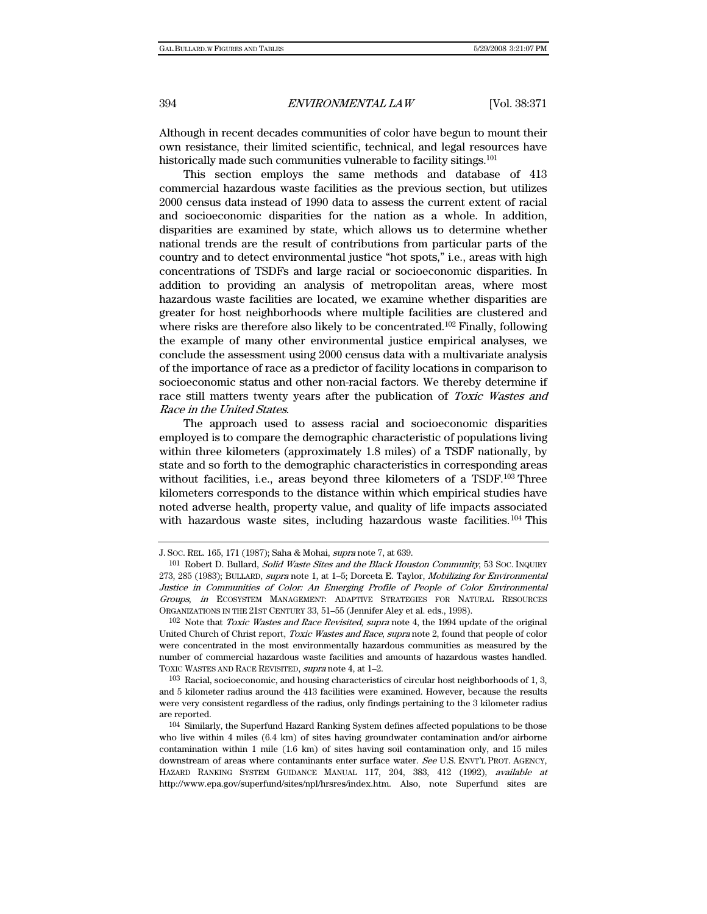Although in recent decades communities of color have begun to mount their own resistance, their limited scientific, technical, and legal resources have historically made such communities vulnerable to facility sitings.<sup>101</sup>

This section employs the same methods and database of 413 commercial hazardous waste facilities as the previous section, but utilizes 2000 census data instead of 1990 data to assess the current extent of racial and socioeconomic disparities for the nation as a whole. In addition, disparities are examined by state, which allows us to determine whether national trends are the result of contributions from particular parts of the country and to detect environmental justice "hot spots," i.e., areas with high concentrations of TSDFs and large racial or socioeconomic disparities. In addition to providing an analysis of metropolitan areas, where most hazardous waste facilities are located, we examine whether disparities are greater for host neighborhoods where multiple facilities are clustered and where risks are therefore also likely to be concentrated.<sup>102</sup> Finally, following the example of many other environmental justice empirical analyses, we conclude the assessment using 2000 census data with a multivariate analysis of the importance of race as a predictor of facility locations in comparison to socioeconomic status and other non-racial factors. We thereby determine if race still matters twenty years after the publication of Toxic Wastes and Race in the United States.

The approach used to assess racial and socioeconomic disparities employed is to compare the demographic characteristic of populations living within three kilometers (approximately 1.8 miles) of a TSDF nationally, by state and so forth to the demographic characteristics in corresponding areas without facilities, i.e., areas beyond three kilometers of a TSDF.<sup>103</sup> Three kilometers corresponds to the distance within which empirical studies have noted adverse health, property value, and quality of life impacts associated with hazardous waste sites, including hazardous waste facilities.<sup>104</sup> This

J. SOC. REL. 165, 171 (1987); Saha & Mohai, supra note 7, at 639.

<sup>101</sup> Robert D. Bullard, Solid Waste Sites and the Black Houston Community, 53 Soc. INQUIRY 273, 285 (1983); BULLARD, supra note 1, at 1–5; Dorceta E. Taylor, Mobilizing for Environmental Justice in Communities of Color: An Emerging Profile of People of Color Environmental Groups, in ECOSYSTEM MANAGEMENT: ADAPTIVE STRATEGIES FOR NATURAL RESOURCES ORGANIZATIONS IN THE 21ST CENTURY 33, 51–55 (Jennifer Aley et al. eds., 1998).

<sup>&</sup>lt;sup>102</sup> Note that *Toxic Wastes and Race Revisited, supra* note 4, the 1994 update of the original United Church of Christ report, Toxic Wastes and Race, supra note 2, found that people of color were concentrated in the most environmentally hazardous communities as measured by the number of commercial hazardous waste facilities and amounts of hazardous wastes handled. TOXIC WASTES AND RACE REVISITED, *supra* note 4, at 1-2.

 $103$  Racial, socioeconomic, and housing characteristics of circular host neighborhoods of 1, 3, and 5 kilometer radius around the 413 facilities were examined. However, because the results were very consistent regardless of the radius, only findings pertaining to the 3 kilometer radius are reported.

<sup>104</sup> Similarly, the Superfund Hazard Ranking System defines affected populations to be those who live within 4 miles (6.4 km) of sites having groundwater contamination and/or airborne contamination within 1 mile (1.6 km) of sites having soil contamination only, and 15 miles downstream of areas where contaminants enter surface water. See U.S. ENVT'L PROT. AGENCY, HAZARD RANKING SYSTEM GUIDANCE MANUAL 117, 204, 383, 412 (1992), available at http://www.epa.gov/superfund/sites/npl/hrsres/index.htm. Also, note Superfund sites are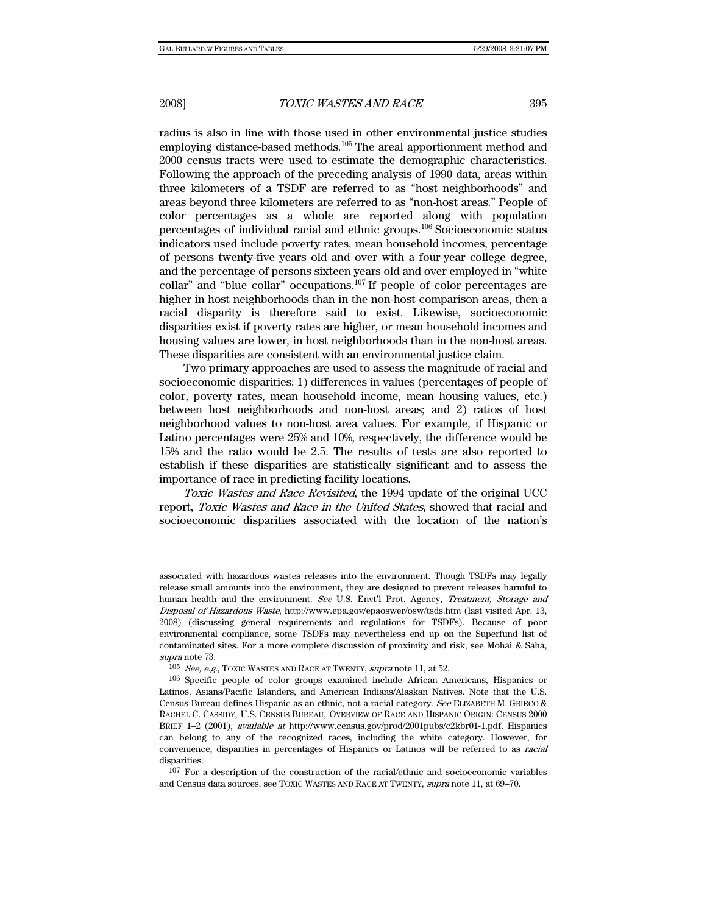radius is also in line with those used in other environmental justice studies employing distance-based methods.105 The areal apportionment method and 2000 census tracts were used to estimate the demographic characteristics. Following the approach of the preceding analysis of 1990 data, areas within three kilometers of a TSDF are referred to as "host neighborhoods" and areas beyond three kilometers are referred to as "non-host areas." People of color percentages as a whole are reported along with population percentages of individual racial and ethnic groups.106 Socioeconomic status indicators used include poverty rates, mean household incomes, percentage of persons twenty-five years old and over with a four-year college degree, and the percentage of persons sixteen years old and over employed in "white collar" and "blue collar" occupations.107 If people of color percentages are higher in host neighborhoods than in the non-host comparison areas, then a racial disparity is therefore said to exist. Likewise, socioeconomic disparities exist if poverty rates are higher, or mean household incomes and housing values are lower, in host neighborhoods than in the non-host areas. These disparities are consistent with an environmental justice claim.

Two primary approaches are used to assess the magnitude of racial and socioeconomic disparities: 1) differences in values (percentages of people of color, poverty rates, mean household income, mean housing values, etc.) between host neighborhoods and non-host areas; and 2) ratios of host neighborhood values to non-host area values. For example, if Hispanic or Latino percentages were 25% and 10%, respectively, the difference would be 15% and the ratio would be 2.5. The results of tests are also reported to establish if these disparities are statistically significant and to assess the importance of race in predicting facility locations.

Toxic Wastes and Race Revisited, the 1994 update of the original UCC report, Toxic Wastes and Race in the United States, showed that racial and socioeconomic disparities associated with the location of the nation's

associated with hazardous wastes releases into the environment. Though TSDFs may legally release small amounts into the environment, they are designed to prevent releases harmful to human health and the environment. See U.S. Envt'l Prot. Agency, Treatment, Storage and Disposal of Hazardous Waste, http://www.epa.gov/epaoswer/osw/tsds.htm (last visited Apr. 13, 2008) (discussing general requirements and regulations for TSDFs). Because of poor environmental compliance, some TSDFs may nevertheless end up on the Superfund list of contaminated sites. For a more complete discussion of proximity and risk, see Mohai & Saha, supra note 73.

 $^{105}\,$  See, e.g., TOXIC WASTES AND RACE AT TWENTY, supra note 11, at 52.

<sup>106</sup> Specific people of color groups examined include African Americans, Hispanics or Latinos, Asians/Pacific Islanders, and American Indians/Alaskan Natives. Note that the U.S. Census Bureau defines Hispanic as an ethnic, not a racial category. See ELIZABETH M. GRIECO & RACHEL C. CASSIDY, U.S. CENSUS BUREAU, OVERVIEW OF RACE AND HISPANIC ORIGIN: CENSUS 2000 BRIEF 1–2 (2001), available at http://www.census.gov/prod/2001pubs/c2kbr01-1.pdf. Hispanics can belong to any of the recognized races, including the white category. However, for convenience, disparities in percentages of Hispanics or Latinos will be referred to as racial disparities.

<sup>107</sup> For a description of the construction of the racial/ethnic and socioeconomic variables and Census data sources, see TOXIC WASTES AND RACE AT TWENTY, supra note 11, at 69–70.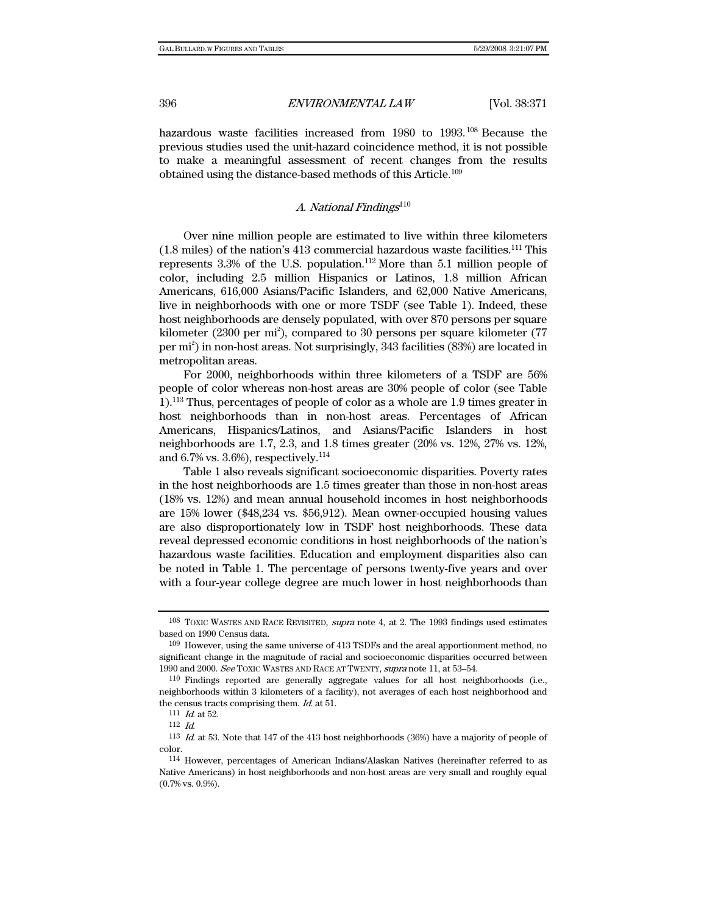hazardous waste facilities increased from 1980 to 1993.<sup>108</sup> Because the previous studies used the unit-hazard coincidence method, it is not possible to make a meaningful assessment of recent changes from the results obtained using the distance-based methods of this Article.109

# A. National Findings $110$

Over nine million people are estimated to live within three kilometers  $(1.8 \text{ miles})$  of the nation's 413 commercial hazardous waste facilities.<sup>111</sup> This represents  $3.3\%$  of the U.S. population.<sup>112</sup> More than 5.1 million people of color, including 2.5 million Hispanics or Latinos, 1.8 million African Americans, 616,000 Asians/Pacific Islanders, and 62,000 Native Americans, live in neighborhoods with one or more TSDF (see Table 1). Indeed, these host neighborhoods are densely populated, with over 870 persons per square kilometer (2300 per mi<sup>2</sup>), compared to 30 persons per square kilometer (77 per mi2 ) in non-host areas. Not surprisingly, 343 facilities (83%) are located in metropolitan areas.

For 2000, neighborhoods within three kilometers of a TSDF are 56% people of color whereas non-host areas are 30% people of color (see Table 1).113 Thus, percentages of people of color as a whole are 1.9 times greater in host neighborhoods than in non-host areas. Percentages of African Americans, Hispanics/Latinos, and Asians/Pacific Islanders in host neighborhoods are 1.7, 2.3, and 1.8 times greater (20% vs. 12%, 27% vs. 12%, and 6.7% vs. 3.6%), respectively.<sup>114</sup>

Table 1 also reveals significant socioeconomic disparities. Poverty rates in the host neighborhoods are 1.5 times greater than those in non-host areas (18% vs. 12%) and mean annual household incomes in host neighborhoods are 15% lower (\$48,234 vs. \$56,912). Mean owner-occupied housing values are also disproportionately low in TSDF host neighborhoods. These data reveal depressed economic conditions in host neighborhoods of the nation's hazardous waste facilities. Education and employment disparities also can be noted in Table 1. The percentage of persons twenty-five years and over with a four-year college degree are much lower in host neighborhoods than

<sup>108</sup> TOXIC WASTES AND RACE REVISITED, supra note 4, at 2. The 1993 findings used estimates based on 1990 Census data.

<sup>109</sup> However, using the same universe of 413 TSDFs and the areal apportionment method, no significant change in the magnitude of racial and socioeconomic disparities occurred between 1990 and 2000. See TOXIC WASTES AND RACE AT TWENTY, supra note 11, at 53–54.

<sup>110</sup> Findings reported are generally aggregate values for all host neighborhoods (i.e., neighborhoods within 3 kilometers of a facility), not averages of each host neighborhood and the census tracts comprising them. Id. at 51.  $111$  Id. at 52.

<sup>112</sup> Id.

<sup>113</sup> Id. at 53. Note that 147 of the 413 host neighborhoods (36%) have a majority of people of color.

<sup>114</sup> However, percentages of American Indians/Alaskan Natives (hereinafter referred to as Native Americans) in host neighborhoods and non-host areas are very small and roughly equal (0.7% vs. 0.9%).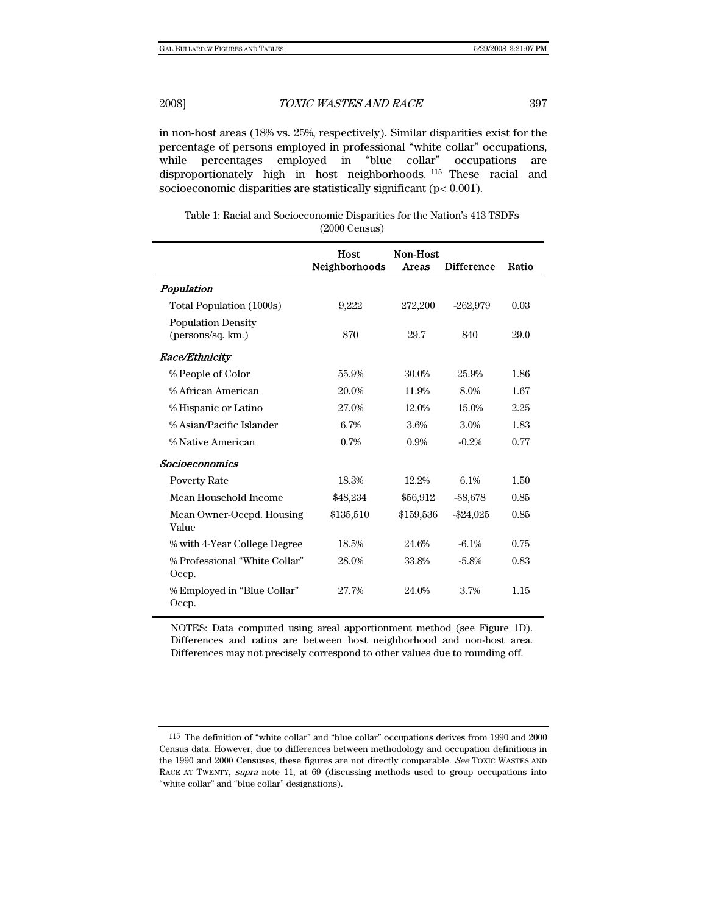in non-host areas (18% vs. 25%, respectively). Similar disparities exist for the percentage of persons employed in professional "white collar" occupations, while percentages employed in "blue collar" occupations are disproportionately high in host neighborhoods. 115 These racial and socioeconomic disparities are statistically significant (p< 0.001).

Table 1: Racial and Socioeconomic Disparities for the Nation's 413 TSDFs (2000 Census)

|                                                | Host<br>Neighborhoods | Non-Host<br>Areas | <b>Difference</b> | Ratio |
|------------------------------------------------|-----------------------|-------------------|-------------------|-------|
| Population                                     |                       |                   |                   |       |
| Total Population (1000s)                       | 9,222                 | 272,200           | $-262,979$        | 0.03  |
| <b>Population Density</b><br>(persons/sq. km.) | 870                   | 29.7              | 840               | 29.0  |
| <b>Race/Ethnicity</b>                          |                       |                   |                   |       |
| % People of Color                              | 55.9%                 | 30.0%             | 25.9%             | 1.86  |
| % African American                             | 20.0%                 | 11.9%             | 8.0%              | 1.67  |
| % Hispanic or Latino                           | 27.0%                 | 12.0%             | 15.0%             | 2.25  |
| % Asian/Pacific Islander                       | 6.7%                  | 3.6%              | 3.0%              | 1.83  |
| % Native American                              | 0.7%                  | 0.9%              | $-0.2%$           | 0.77  |
| <b>Socioeconomics</b>                          |                       |                   |                   |       |
| <b>Poverty Rate</b>                            | 18.3%                 | 12.2%             | 6.1%              | 1.50  |
| Mean Household Income                          | \$48,234              | \$56,912          | $- $8,678$        | 0.85  |
| Mean Owner-Occpd. Housing<br>Value             | \$135,510             | \$159,536         | $-$ \$24,025      | 0.85  |
| % with 4-Year College Degree                   | 18.5%                 | 24.6%             | $-6.1\%$          | 0.75  |
| % Professional "White Collar"<br>Occp.         | 28.0%                 | 33.8%             | $-5.8\%$          | 0.83  |
| % Employed in "Blue Collar"<br>Occp.           | 27.7%                 | 24.0%             | 3.7%              | 1.15  |

NOTES: Data computed using areal apportionment method (see Figure 1D). Differences and ratios are between host neighborhood and non-host area. Differences may not precisely correspond to other values due to rounding off.

<sup>115</sup> The definition of "white collar" and "blue collar" occupations derives from 1990 and 2000 Census data. However, due to differences between methodology and occupation definitions in the 1990 and 2000 Censuses, these figures are not directly comparable. See TOXIC WASTES AND RACE AT TWENTY, supra note 11, at 69 (discussing methods used to group occupations into "white collar" and "blue collar" designations).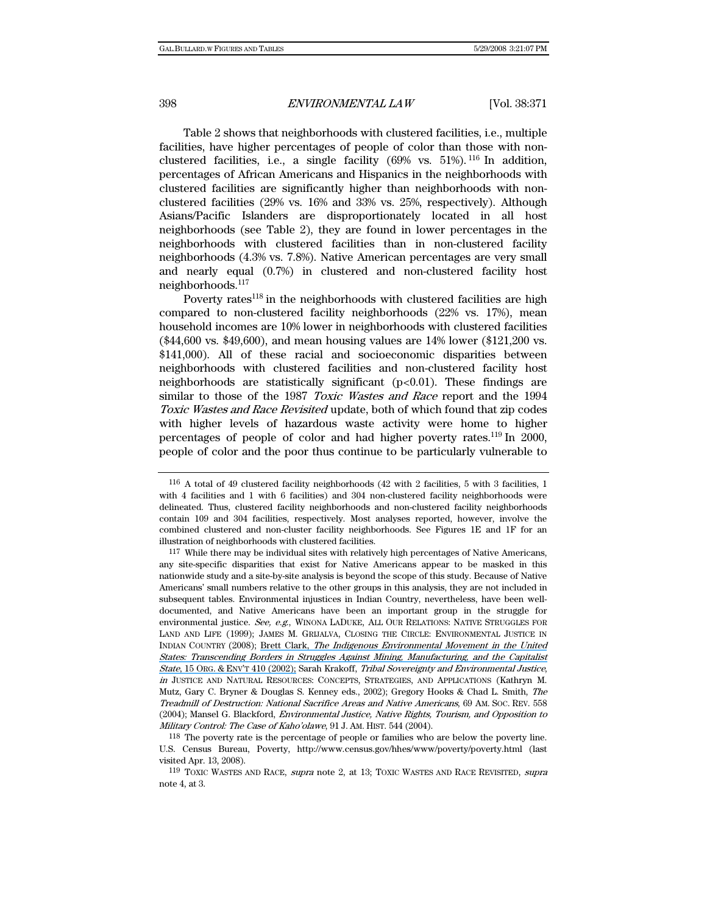Table 2 shows that neighborhoods with clustered facilities, i.e., multiple facilities, have higher percentages of people of color than those with nonclustered facilities, i.e., a single facility  $(69\% \text{ vs. } 51\%)$ . <sup>116</sup> In addition, percentages of African Americans and Hispanics in the neighborhoods with clustered facilities are significantly higher than neighborhoods with nonclustered facilities (29% vs. 16% and 33% vs. 25%, respectively). Although Asians/Pacific Islanders are disproportionately located in all host neighborhoods (see Table 2), they are found in lower percentages in the neighborhoods with clustered facilities than in non-clustered facility neighborhoods (4.3% vs. 7.8%). Native American percentages are very small and nearly equal (0.7%) in clustered and non-clustered facility host neighborhoods.117

Poverty rates $118$  in the neighborhoods with clustered facilities are high compared to non-clustered facility neighborhoods (22% vs. 17%), mean household incomes are 10% lower in neighborhoods with clustered facilities (\$44,600 vs. \$49,600), and mean housing values are 14% lower (\$121,200 vs. \$141,000). All of these racial and socioeconomic disparities between neighborhoods with clustered facilities and non-clustered facility host neighborhoods are statistically significant  $(p<0.01)$ . These findings are similar to those of the 1987 Toxic Wastes and Race report and the 1994 Toxic Wastes and Race Revisited update, both of which found that zip codes with higher levels of hazardous waste activity were home to higher percentages of people of color and had higher poverty rates.119 In 2000, people of color and the poor thus continue to be particularly vulnerable to

<sup>116</sup> A total of 49 clustered facility neighborhoods (42 with 2 facilities, 5 with 3 facilities, 1 with 4 facilities and 1 with 6 facilities) and 304 non-clustered facility neighborhoods were delineated. Thus, clustered facility neighborhoods and non-clustered facility neighborhoods contain 109 and 304 facilities, respectively. Most analyses reported, however, involve the combined clustered and non-cluster facility neighborhoods. See Figures 1E and 1F for an illustration of neighborhoods with clustered facilities.

<sup>117</sup> While there may be individual sites with relatively high percentages of Native Americans, any site-specific disparities that exist for Native Americans appear to be masked in this nationwide study and a site-by-site analysis is beyond the scope of this study. Because of Native Americans' small numbers relative to the other groups in this analysis, they are not included in subsequent tables. Environmental injustices in Indian Country, nevertheless, have been welldocumented, and Native Americans have been an important group in the struggle for environmental justice. See, e.g., WINONA LADUKE, ALL OUR RELATIONS: NATIVE STRUGGLES FOR LAND AND LIFE (1999); JAMES M. GRIJALVA, CLOSING THE CIRCLE: ENVIRONMENTAL JUSTICE IN INDIAN COUNTRY (2008); Brett Clark, [The Indigenous Environmental Movement in the United](https://www.researchgate.net/publication/238430928_The_Indigenous_Environmental_Movement_in_the_United_States_Transcending_Borders_in_Struggles_against_Mining_Manufacturing_and_the_Capitalist_State?el=1_x_8&enrichId=rgreq-f2cd5883ba1d54f49af5860c97e84c26-XXX&enrichSource=Y292ZXJQYWdlOzI2NTEwOTEzMztBUzoxNzA3NjI4NDU1NjQ5MjhAMTQxNzcyNDQ0MzIwMw==)  [States: Transcending Borders in Struggles Against Mining, Manufacturing, and the Capitalist](https://www.researchgate.net/publication/238430928_The_Indigenous_Environmental_Movement_in_the_United_States_Transcending_Borders_in_Struggles_against_Mining_Manufacturing_and_the_Capitalist_State?el=1_x_8&enrichId=rgreq-f2cd5883ba1d54f49af5860c97e84c26-XXX&enrichSource=Y292ZXJQYWdlOzI2NTEwOTEzMztBUzoxNzA3NjI4NDU1NjQ5MjhAMTQxNzcyNDQ0MzIwMw==)  State, 15 ORG. & [ENV'T 410 \(2002\);](https://www.researchgate.net/publication/238430928_The_Indigenous_Environmental_Movement_in_the_United_States_Transcending_Borders_in_Struggles_against_Mining_Manufacturing_and_the_Capitalist_State?el=1_x_8&enrichId=rgreq-f2cd5883ba1d54f49af5860c97e84c26-XXX&enrichSource=Y292ZXJQYWdlOzI2NTEwOTEzMztBUzoxNzA3NjI4NDU1NjQ5MjhAMTQxNzcyNDQ0MzIwMw==) Sarah Krakoff, Tribal Sovereignty and Environmental Justice, in JUSTICE AND NATURAL RESOURCES: CONCEPTS, STRATEGIES, AND APPLICATIONS (Kathryn M. Mutz, Gary C. Bryner & Douglas S. Kenney eds., 2002); Gregory Hooks & Chad L. Smith, The Treadmill of Destruction: National Sacrifice Areas and Native Americans, 69 AM. SOC. REV. 558 (2004); Mansel G. Blackford, Environmental Justice, Native Rights, Tourism, and Opposition to Military Control: The Case of Kaho'olawe, 91 J. AM. HIST. 544 (2004).

<sup>118</sup> The poverty rate is the percentage of people or families who are below the poverty line. U.S. Census Bureau, Poverty, http://www.census.gov/hhes/www/poverty/poverty.html (last visited Apr. 13, 2008).

<sup>119</sup> TOXIC WASTES AND RACE, supra note 2, at 13; TOXIC WASTES AND RACE REVISITED, supra note 4, at 3.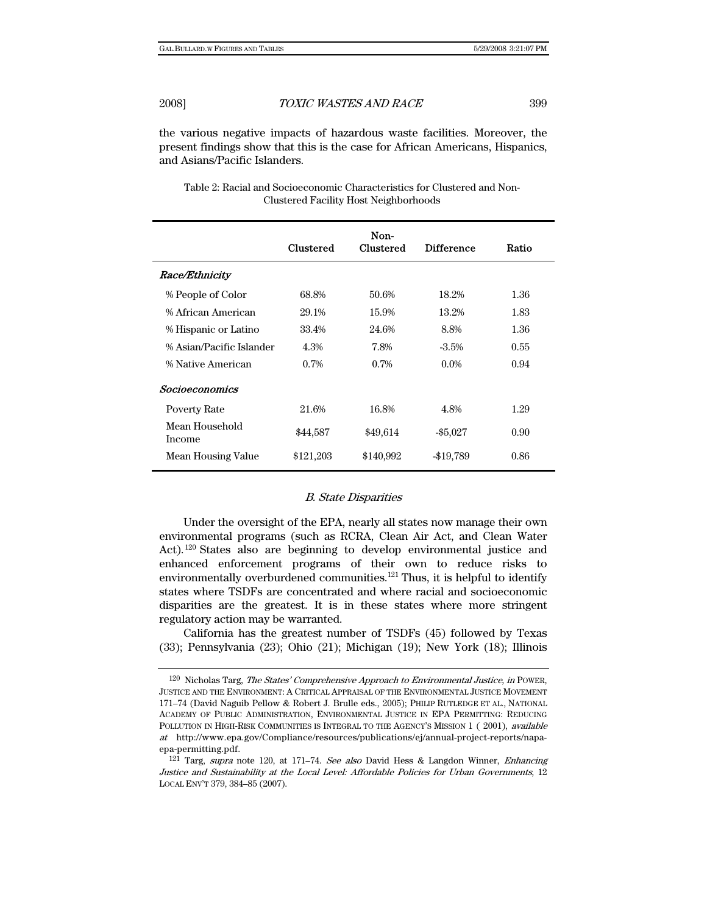the various negative impacts of hazardous waste facilities. Moreover, the present findings show that this is the case for African Americans, Hispanics, and Asians/Pacific Islanders.

|                          | <b>Clustered</b> | Non-<br>Clustered | <b>Difference</b> | Ratio |
|--------------------------|------------------|-------------------|-------------------|-------|
| Race/Ethnicity           |                  |                   |                   |       |
| % People of Color        | 68.8%            | 50.6%             | 18.2%             | 1.36  |
| % African American       | 29.1%            | 15.9%             | 13.2%             | 1.83  |
| % Hispanic or Latino     | 33.4%            | 24.6%             | 8.8%              | 1.36  |
| % Asian/Pacific Islander | 4.3%             | 7.8%              | $-3.5\%$          | 0.55  |
| % Native American        | 0.7%             | 0.7%              | $0.0\%$           | 0.94  |
| Socioeconomics           |                  |                   |                   |       |
| <b>Poverty Rate</b>      | 21.6%            | 16.8%             | 4.8%              | 1.29  |
| Mean Household<br>Income | \$44,587         | \$49,614          | $-$ \$5,027       | 0.90  |
| Mean Housing Value       | \$121,203        | \$140,992         | $-19,789$         | 0.86  |

| Table 2: Racial and Socioeconomic Characteristics for Clustered and Non- |  |
|--------------------------------------------------------------------------|--|
| <b>Clustered Facility Host Neighborhoods</b>                             |  |

### B. State Disparities

Under the oversight of the EPA, nearly all states now manage their own environmental programs (such as RCRA, Clean Air Act, and Clean Water Act).120 States also are beginning to develop environmental justice and enhanced enforcement programs of their own to reduce risks to environmentally overburdened communities.<sup>121</sup> Thus, it is helpful to identify states where TSDFs are concentrated and where racial and socioeconomic disparities are the greatest. It is in these states where more stringent regulatory action may be warranted.

California has the greatest number of TSDFs (45) followed by Texas (33); Pennsylvania (23); Ohio (21); Michigan (19); New York (18); Illinois

<sup>120</sup> Nicholas Targ, The States' Comprehensive Approach to Environmental Justice, in POWER, JUSTICE AND THE ENVIRONMENT: A CRITICAL APPRAISAL OF THE ENVIRONMENTAL JUSTICE MOVEMENT 171–74 (David Naguib Pellow & Robert J. Brulle eds., 2005); PHILIP RUTLEDGE ET AL., NATIONAL ACADEMY OF PUBLIC ADMINISTRATION, ENVIRONMENTAL JUSTICE IN EPA PERMITTING: REDUCING POLLUTION IN HIGH-RISK COMMUNITIES IS INTEGRAL TO THE AGENCY'S MISSION 1 (2001), available at http://www.epa.gov/Compliance/resources/publications/ej/annual-project-reports/napaepa-permitting.pdf.

<sup>121</sup> Targ, supra note 120, at 171–74. See also David Hess & Langdon Winner, Enhancing Justice and Sustainability at the Local Level: Affordable Policies for Urban Governments, 12 LOCAL ENV'T 379, 384–85 (2007).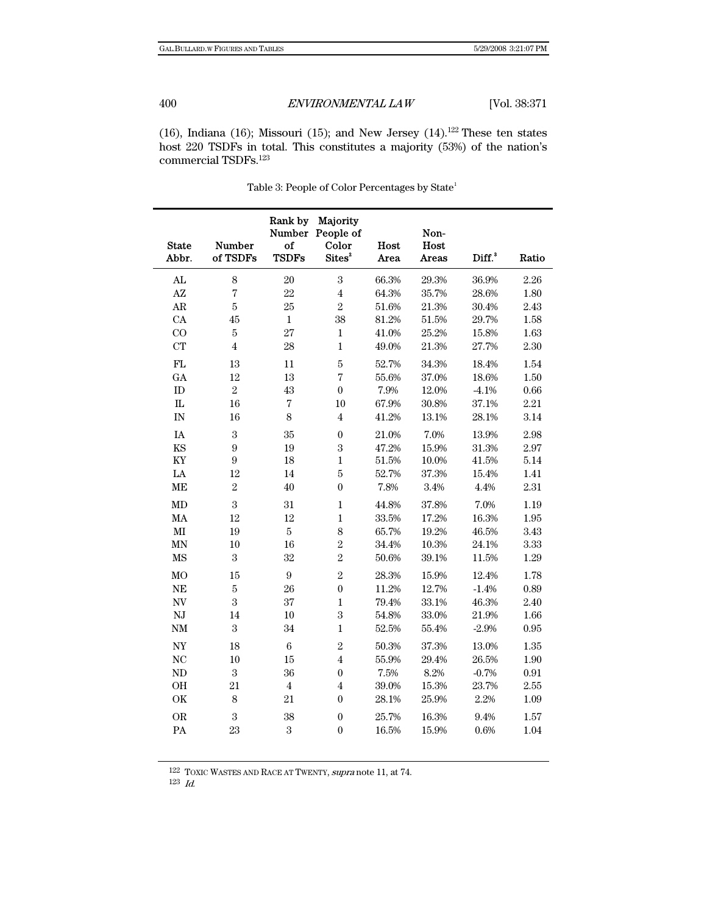(16), Indiana (16); Missouri (15); and New Jersey (14).<sup>122</sup> These ten states host 220 TSDFs in total. This constitutes a majority (53%) of the nation's commercial TSDFs.123

| <b>State</b>             | <b>Number</b>    | Rank by<br>Number<br>of | Majority<br>People of<br>Color | Host        | Non-<br>Host |                    |            |
|--------------------------|------------------|-------------------------|--------------------------------|-------------|--------------|--------------------|------------|
| Abbr.                    | of TSDFs         | <b>TSDFs</b>            | Sites <sup>2</sup>             | <b>Area</b> | Areas        | Diff. <sup>3</sup> | Ratio      |
| ${\rm AL}$               | $\,8\,$          | 20                      | $\boldsymbol{3}$               | 66.3%       | 29.3%        | 36.9%              | 2.26       |
| $\mathbf{A}\mathbf{Z}$   | $\overline{7}$   | 22                      | $\bf 4$                        | 64.3%       | 35.7%        | 28.6%              | 1.80       |
| $\rm{AR}$                | $\bf 5$          | 25                      | $\overline{2}$                 | 51.6%       | 21.3%        | 30.4%              | 2.43       |
| CA                       | 45               | $\,1$                   | 38                             | 81.2%       | 51.5%        | 29.7%              | 1.58       |
| CO                       | $\bf 5$          | 27                      | $\mathbf{1}$                   | 41.0%       | 25.2%        | 15.8%              | 1.63       |
| <b>CT</b>                | $\overline{4}$   | 28                      | $\mathbf 1$                    | 49.0%       | 21.3%        | 27.7%              | 2.30       |
| FL                       | 13               | 11                      | $\bf 5$                        | 52.7%       | 34.3%        | 18.4%              | 1.54       |
| GA                       | 12               | 13                      | $\sqrt{ }$                     | 55.6%       | 37.0%        | 18.6%              | 1.50       |
| ${\rm ID}$               | $\overline{2}$   | 43                      | $\boldsymbol{0}$               | 7.9%        | 12.0%        | $-4.1%$            | 0.66       |
| ${\rm IL}$               | 16               | $\sqrt{ }$              | 10                             | 67.9%       | 30.8%        | 37.1%              | $2.21\,$   |
| IN                       | 16               | 8                       | $\overline{\mathbf{4}}$        | 41.2%       | 13.1%        | 28.1%              | 3.14       |
| $\rm IA$                 | $\,3$            | 35                      | $\boldsymbol{0}$               | 21.0%       | 7.0%         | 13.9%              | 2.98       |
| KS                       | $\boldsymbol{9}$ | 19                      | $\,3$                          | 47.2%       | 15.9%        | 31.3%              | 2.97       |
| $\mathbf{K}\mathbf{Y}$   | $\boldsymbol{9}$ | $18\,$                  | $\,1$                          | $51.5\%$    | 10.0%        | 41.5%              | 5.14       |
| $\rm{LA}$                | 12               | 14                      | $\bf 5$                        | 52.7%       | 37.3%        | 15.4%              | 1.41       |
| $\operatorname{ME}$      | $\sqrt{2}$       | 40                      | $\overline{0}$                 | 7.8%        | $3.4\%$      | 4.4%               | $2.31\,$   |
| MD                       | $\sqrt{3}$       | 31                      | $\,1$                          | 44.8%       | 37.8%        | 7.0%               | 1.19       |
| MA                       | 12               | 12                      | $\,1$                          | 33.5%       | 17.2%        | 16.3%              | 1.95       |
| $\mathbf{M}\mathbf{I}$   | 19               | $\bf 5$                 | 8                              | 65.7%       | 19.2%        | 46.5%              | 3.43       |
| MN                       | $10\,$           | 16                      | $\sqrt{2}$                     | 34.4%       | $10.3\%$     | 24.1%              | 3.33       |
| $\rm{MS}$                | $\sqrt{3}$       | 32                      | $\overline{2}$                 | $50.6\%$    | 39.1%        | 11.5%              | 1.29       |
| MO                       | 15               | $\boldsymbol{9}$        | $\overline{2}$                 | 28.3%       | 15.9%        | 12.4%              | 1.78       |
| NE                       | $\bf 5$          | 26                      | $\boldsymbol{0}$               | 11.2%       | 12.7%        | $-1.4%$            | 0.89       |
| $\ensuremath{\text{NV}}$ | $\overline{3}$   | 37                      | $\,1$                          | 79.4%       | 33.1%        | 46.3%              | 2.40       |
| NJ                       | 14               | $10\,$                  | $\,3$                          | 54.8%       | 33.0%        | 21.9%              | 1.66       |
| $\mathrm{NM}$            | $\sqrt{3}$       | 34                      | $\,1$                          | 52.5%       | 55.4%        | $-2.9%$            | $\rm 0.95$ |
| $\ensuremath{\text{NY}}$ | 18               | $\,6\,$                 | $\overline{2}$                 | 50.3%       | 37.3%        | 13.0%              | 1.35       |
| NC                       | 10               | 15                      | $\overline{\mathbf{4}}$        | 55.9%       | 29.4%        | 26.5%              | 1.90       |
| $\rm ND$                 | $\sqrt{3}$       | 36                      | $\boldsymbol{0}$               | 7.5%        | 8.2%         | $-0.7%$            | $\rm 0.91$ |
| $\rm OH$                 | 21               | $\bf 4$                 | $\overline{\mathbf{4}}$        | 39.0%       | 15.3%        | 23.7%              | 2.55       |
| $\mathrm{OK}$            | $\,8\,$          | 21                      | $\boldsymbol{0}$               | 28.1%       | 25.9%        | 2.2%               | 1.09       |
| <b>OR</b>                | $\sqrt{3}$       | 38                      | $\overline{0}$                 | 25.7%       | 16.3%        | 9.4%               | 1.57       |
| PA                       | 23               | 3                       | $\boldsymbol{0}$               | 16.5%       | 15.9%        | 0.6%               | 1.04       |

Table 3: People of Color Percentages by State<sup>1</sup>

122 TOXIC WASTES AND RACE AT TWENTY, supra note 11, at 74.

123 Id.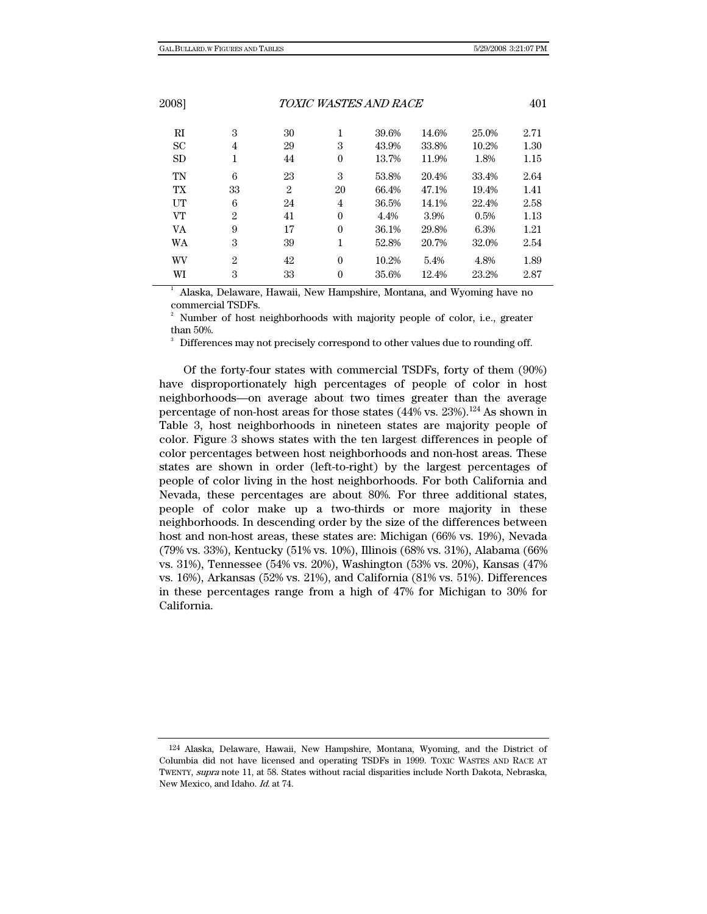3

| TOXIC WASTES AND RACE<br>2008] |                |                  |       |       |       | 401  |  |
|--------------------------------|----------------|------------------|-------|-------|-------|------|--|
| 3                              | 30             | 1                | 39.6% | 14.6% | 25.0% | 2.71 |  |
| 4                              | 29             | 3                | 43.9% | 33.8% | 10.2% | 1.30 |  |
| 1                              | 44             | $\boldsymbol{0}$ | 13.7% | 11.9% | 1.8%  | 1.15 |  |
| 6                              | 23             | 3                | 53.8% | 20.4% | 33.4% | 2.64 |  |
| 33                             | $\overline{2}$ | 20               | 66.4% | 47.1% | 19.4% | 1.41 |  |
| 6                              | 24             | 4                | 36.5% | 14.1% | 22.4% | 2.58 |  |
| $\overline{2}$                 | 41             | $\mathbf{0}$     | 4.4%  | 3.9%  | 0.5%  | 1.13 |  |
| 9                              | 17             | $\theta$         | 36.1% | 29.8% | 6.3%  | 1.21 |  |
| 3                              | 39             | 1                | 52.8% | 20.7% | 32.0% | 2.54 |  |
| $\overline{2}$                 | 42             | $\mathbf{0}$     | 10.2% | 5.4%  | 4.8%  | 1.89 |  |
| 3                              | 33             | $\theta$         | 35.6% | 12.4% | 23.2% | 2.87 |  |
|                                |                |                  |       |       |       |      |  |

1 Alaska, Delaware, Hawaii, New Hampshire, Montana, and Wyoming have no commercial TSDFs.

2 Number of host neighborhoods with majority people of color, i.e., greater than 50%.

Differences may not precisely correspond to other values due to rounding off.

Of the forty-four states with commercial TSDFs, forty of them (90%) have disproportionately high percentages of people of color in host neighborhoods—on average about two times greater than the average percentage of non-host areas for those states  $(44\% \text{ vs. } 23\%)$ .<sup>124</sup> As shown in Table 3, host neighborhoods in nineteen states are majority people of color. Figure 3 shows states with the ten largest differences in people of color percentages between host neighborhoods and non-host areas. These states are shown in order (left-to-right) by the largest percentages of people of color living in the host neighborhoods. For both California and Nevada, these percentages are about 80%. For three additional states, people of color make up a two-thirds or more majority in these neighborhoods. In descending order by the size of the differences between host and non-host areas, these states are: Michigan (66% vs. 19%), Nevada (79% vs. 33%), Kentucky (51% vs. 10%), Illinois (68% vs. 31%), Alabama (66% vs. 31%), Tennessee (54% vs. 20%), Washington (53% vs. 20%), Kansas (47% vs. 16%), Arkansas (52% vs. 21%), and California (81% vs. 51%). Differences in these percentages range from a high of 47% for Michigan to 30% for California.

<sup>124</sup> Alaska, Delaware, Hawaii, New Hampshire, Montana, Wyoming, and the District of Columbia did not have licensed and operating TSDFs in 1999. TOXIC WASTES AND RACE AT TWENTY, supra note 11, at 58. States without racial disparities include North Dakota, Nebraska, New Mexico, and Idaho. Id. at 74.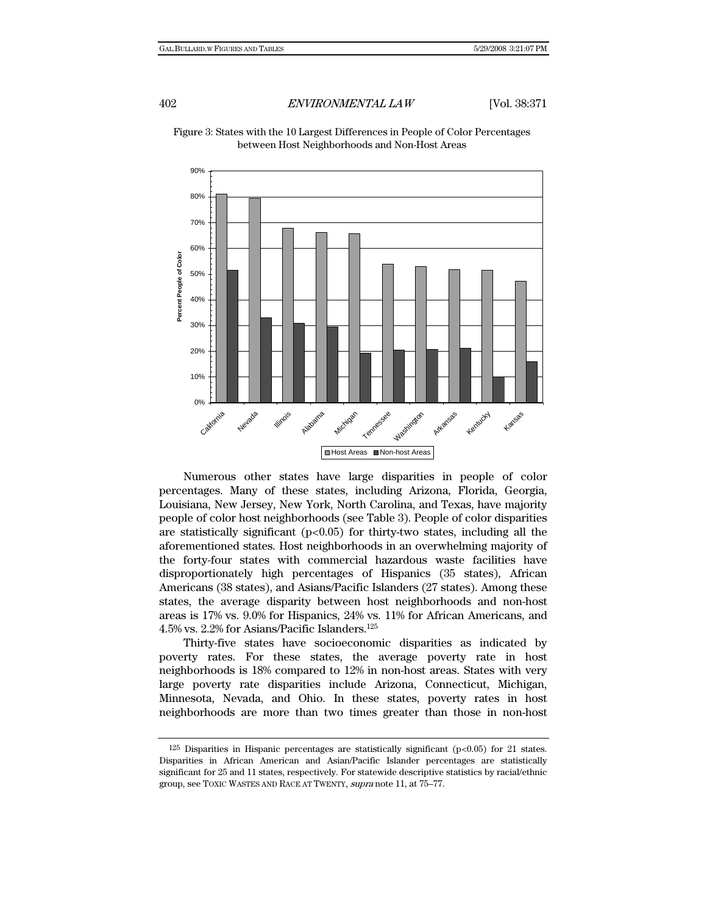

Figure 3: States with the 10 Largest Differences in People of Color Percentages between Host Neighborhoods and Non-Host Areas

Numerous other states have large disparities in people of color percentages. Many of these states, including Arizona, Florida, Georgia, Louisiana, New Jersey, New York, North Carolina, and Texas, have majority people of color host neighborhoods (see Table 3). People of color disparities are statistically significant  $(p<0.05)$  for thirty-two states, including all the aforementioned states. Host neighborhoods in an overwhelming majority of the forty-four states with commercial hazardous waste facilities have disproportionately high percentages of Hispanics (35 states), African Americans (38 states), and Asians/Pacific Islanders (27 states). Among these states, the average disparity between host neighborhoods and non-host areas is 17% vs. 9.0% for Hispanics, 24% vs. 11% for African Americans, and 4.5% vs. 2.2% for Asians/Pacific Islanders.125

Thirty-five states have socioeconomic disparities as indicated by poverty rates. For these states, the average poverty rate in host neighborhoods is 18% compared to 12% in non-host areas. States with very large poverty rate disparities include Arizona, Connecticut, Michigan, Minnesota, Nevada, and Ohio. In these states, poverty rates in host neighborhoods are more than two times greater than those in non-host

 $125$  Disparities in Hispanic percentages are statistically significant (p<0.05) for 21 states. Disparities in African American and Asian/Pacific Islander percentages are statistically significant for 25 and 11 states, respectively. For statewide descriptive statistics by racial/ethnic group, see TOXIC WASTES AND RACE AT TWENTY, supra note 11, at 75–77.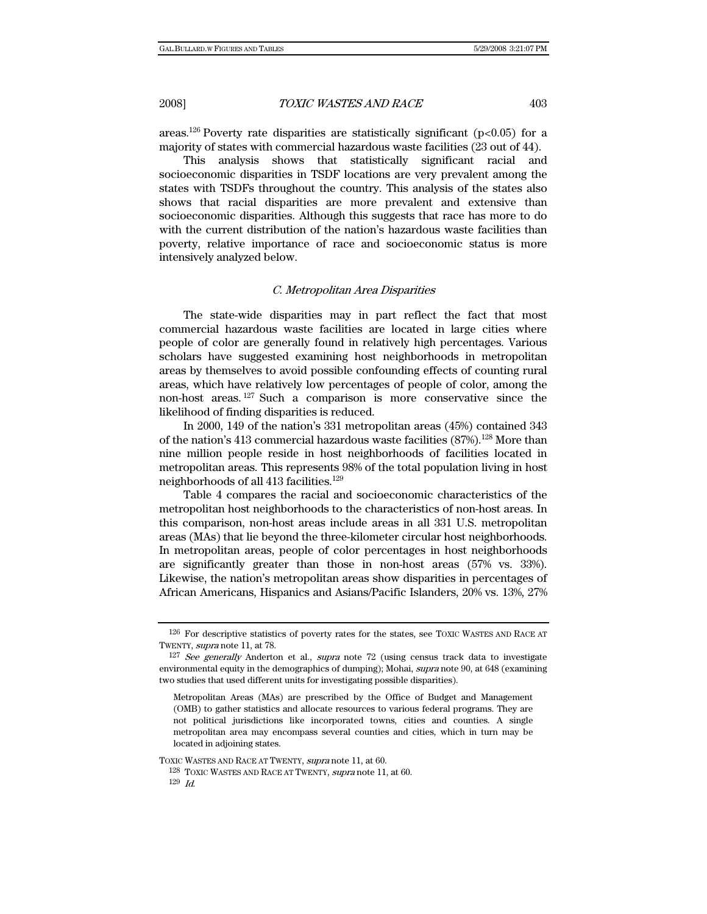areas.<sup>126</sup> Poverty rate disparities are statistically significant ( $p < 0.05$ ) for a majority of states with commercial hazardous waste facilities (23 out of 44).

This analysis shows that statistically significant racial and socioeconomic disparities in TSDF locations are very prevalent among the states with TSDFs throughout the country. This analysis of the states also shows that racial disparities are more prevalent and extensive than socioeconomic disparities. Although this suggests that race has more to do with the current distribution of the nation's hazardous waste facilities than poverty, relative importance of race and socioeconomic status is more intensively analyzed below.

### C. Metropolitan Area Disparities

The state-wide disparities may in part reflect the fact that most commercial hazardous waste facilities are located in large cities where people of color are generally found in relatively high percentages. Various scholars have suggested examining host neighborhoods in metropolitan areas by themselves to avoid possible confounding effects of counting rural areas, which have relatively low percentages of people of color, among the non-host areas. 127 Such a comparison is more conservative since the likelihood of finding disparities is reduced.

In 2000, 149 of the nation's 331 metropolitan areas (45%) contained 343 of the nation's 413 commercial hazardous waste facilities (87%).<sup>128</sup> More than nine million people reside in host neighborhoods of facilities located in metropolitan areas. This represents 98% of the total population living in host neighborhoods of all 413 facilities.129

Table 4 compares the racial and socioeconomic characteristics of the metropolitan host neighborhoods to the characteristics of non-host areas. In this comparison, non-host areas include areas in all 331 U.S. metropolitan areas (MAs) that lie beyond the three-kilometer circular host neighborhoods. In metropolitan areas, people of color percentages in host neighborhoods are significantly greater than those in non-host areas (57% vs. 33%). Likewise, the nation's metropolitan areas show disparities in percentages of African Americans, Hispanics and Asians/Pacific Islanders, 20% vs. 13%, 27%

TOXIC WASTES AND RACE AT TWENTY, supra note 11, at 60.

128 TOXIC WASTES AND RACE AT TWENTY, supra note 11, at 60.  $129$  Id.

<sup>126</sup> For descriptive statistics of poverty rates for the states, see TOXIC WASTES AND RACE AT TWENTY, supra note 11, at 78.

<sup>&</sup>lt;sup>127</sup> See generally Anderton et al., supra note 72 (using census track data to investigate environmental equity in the demographics of dumping); Mohai, supra note 90, at 648 (examining two studies that used different units for investigating possible disparities).

Metropolitan Areas (MAs) are prescribed by the Office of Budget and Management (OMB) to gather statistics and allocate resources to various federal programs. They are not political jurisdictions like incorporated towns, cities and counties. A single metropolitan area may encompass several counties and cities, which in turn may be located in adjoining states.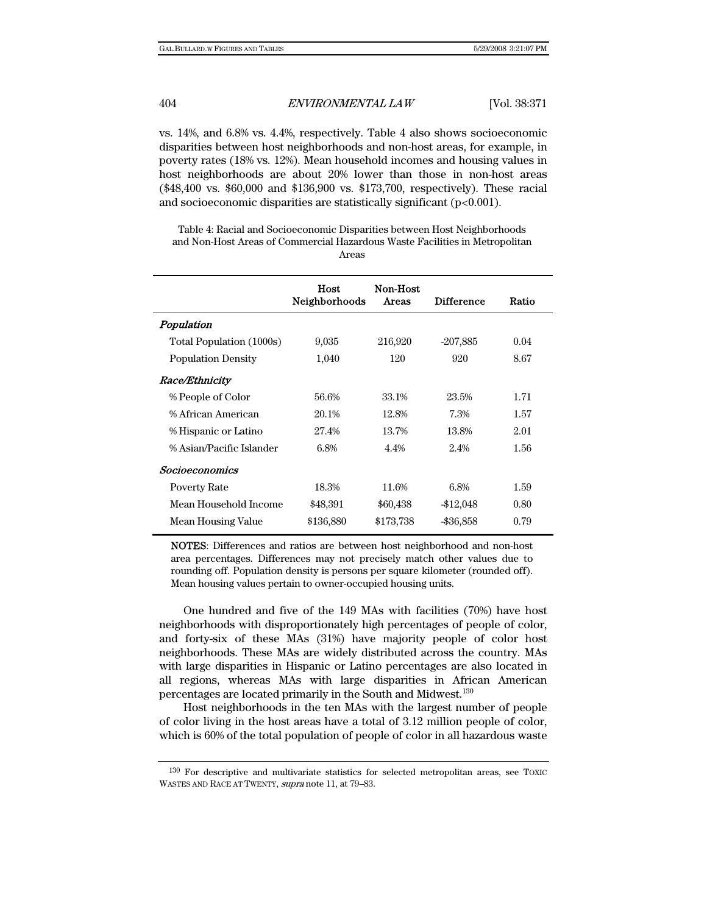vs. 14%, and 6.8% vs. 4.4%, respectively. Table 4 also shows socioeconomic disparities between host neighborhoods and non-host areas, for example, in poverty rates (18% vs. 12%). Mean household incomes and housing values in host neighborhoods are about 20% lower than those in non-host areas (\$48,400 vs. \$60,000 and \$136,900 vs. \$173,700, respectively). These racial and socioeconomic disparities are statistically significant (p<0.001).

Table 4: Racial and Socioeconomic Disparities between Host Neighborhoods and Non-Host Areas of Commercial Hazardous Waste Facilities in Metropolitan Areas

|                           | Host<br>Neighborhoods | Non-Host<br>Areas | <b>Difference</b> | Ratio |
|---------------------------|-----------------------|-------------------|-------------------|-------|
| Population                |                       |                   |                   |       |
| Total Population (1000s)  | 9,035                 | 216,920           | $-207,885$        | 0.04  |
| <b>Population Density</b> | 1,040                 | 120               | 920               | 8.67  |
| <i>Race/Ethnicity</i>     |                       |                   |                   |       |
| % People of Color         | 56.6%                 | 33.1%             | 23.5%             | 1.71  |
| % African American        | 20.1%                 | 12.8%             | 7.3%              | 1.57  |
| % Hispanic or Latino      | 27.4%                 | 13.7%             | 13.8%             | 2.01  |
| % Asian/Pacific Islander  | 6.8%                  | 4.4%              | 2.4%              | 1.56  |
| <b>Socioeconomics</b>     |                       |                   |                   |       |
| <b>Poverty Rate</b>       | 18.3%                 | 11.6%             | 6.8%              | 1.59  |
| Mean Household Income     | \$48,391              | \$60,438          | -\$12,048         | 0.80  |
| Mean Housing Value        | \$136,880             | \$173,738         | $-$ \$36,858      | 0.79  |
|                           |                       |                   |                   |       |

NOTES: Differences and ratios are between host neighborhood and non-host area percentages. Differences may not precisely match other values due to rounding off. Population density is persons per square kilometer (rounded off). Mean housing values pertain to owner-occupied housing units.

One hundred and five of the 149 MAs with facilities (70%) have host neighborhoods with disproportionately high percentages of people of color, and forty-six of these MAs (31%) have majority people of color host neighborhoods. These MAs are widely distributed across the country. MAs with large disparities in Hispanic or Latino percentages are also located in all regions, whereas MAs with large disparities in African American percentages are located primarily in the South and Midwest.130

Host neighborhoods in the ten MAs with the largest number of people of color living in the host areas have a total of 3.12 million people of color, which is 60% of the total population of people of color in all hazardous waste

<sup>130</sup> For descriptive and multivariate statistics for selected metropolitan areas, see TOXIC WASTES AND RACE AT TWENTY, supra note 11, at 79–83.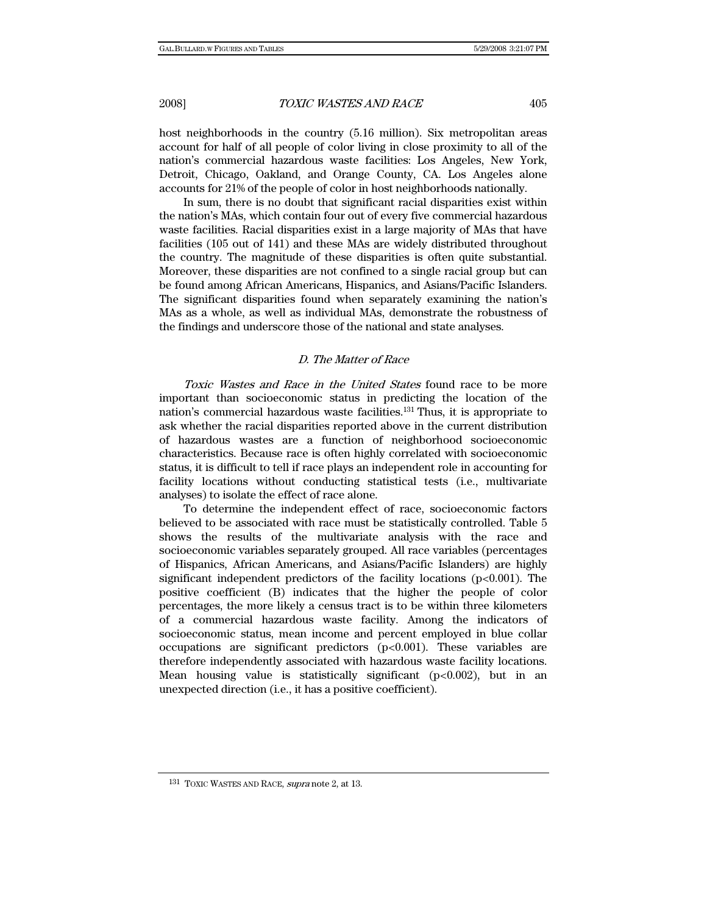host neighborhoods in the country (5.16 million). Six metropolitan areas account for half of all people of color living in close proximity to all of the nation's commercial hazardous waste facilities: Los Angeles, New York, Detroit, Chicago, Oakland, and Orange County, CA. Los Angeles alone accounts for 21% of the people of color in host neighborhoods nationally.

In sum, there is no doubt that significant racial disparities exist within the nation's MAs, which contain four out of every five commercial hazardous waste facilities. Racial disparities exist in a large majority of MAs that have facilities (105 out of 141) and these MAs are widely distributed throughout the country. The magnitude of these disparities is often quite substantial. Moreover, these disparities are not confined to a single racial group but can be found among African Americans, Hispanics, and Asians/Pacific Islanders. The significant disparities found when separately examining the nation's MAs as a whole, as well as individual MAs, demonstrate the robustness of the findings and underscore those of the national and state analyses.

# D. The Matter of Race

Toxic Wastes and Race in the United States found race to be more important than socioeconomic status in predicting the location of the nation's commercial hazardous waste facilities.131 Thus, it is appropriate to ask whether the racial disparities reported above in the current distribution of hazardous wastes are a function of neighborhood socioeconomic characteristics. Because race is often highly correlated with socioeconomic status, it is difficult to tell if race plays an independent role in accounting for facility locations without conducting statistical tests (i.e., multivariate analyses) to isolate the effect of race alone.

To determine the independent effect of race, socioeconomic factors believed to be associated with race must be statistically controlled. Table 5 shows the results of the multivariate analysis with the race and socioeconomic variables separately grouped. All race variables (percentages of Hispanics, African Americans, and Asians/Pacific Islanders) are highly significant independent predictors of the facility locations  $(p<0.001)$ . The positive coefficient (B) indicates that the higher the people of color percentages, the more likely a census tract is to be within three kilometers of a commercial hazardous waste facility. Among the indicators of socioeconomic status, mean income and percent employed in blue collar occupations are significant predictors  $(p<0.001)$ . These variables are therefore independently associated with hazardous waste facility locations. Mean housing value is statistically significant  $(p<0.002)$ , but in an unexpected direction (i.e., it has a positive coefficient).

<sup>131</sup> TOXIC WASTES AND RACE, supra note 2, at 13.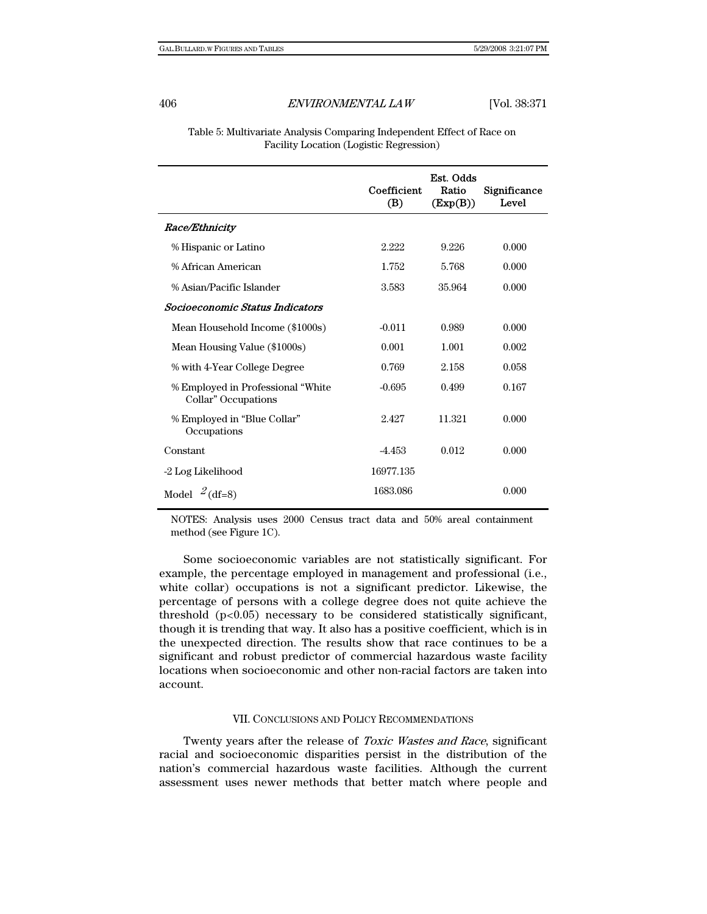Table 5: Multivariate Analysis Comparing Independent Effect of Race on Facility Location (Logistic Regression)

|                                                           | Coefficient<br>(B) | Est. Odds<br>Ratio<br>(Exp(B)) | Significance<br>Level |
|-----------------------------------------------------------|--------------------|--------------------------------|-----------------------|
| Race/Ethnicity                                            |                    |                                |                       |
| % Hispanic or Latino                                      | 2.222              | 9.226                          | 0.000                 |
| % African American                                        | 1.752              | 5.768                          | 0.000                 |
| % Asian/Pacific Islander                                  | 3.583              | 35.964                         | 0.000                 |
| Socioeconomic Status Indicators                           |                    |                                |                       |
| Mean Household Income (\$1000s)                           | $-0.011$           | 0.989                          | 0.000                 |
| Mean Housing Value (\$1000s)                              | 0.001              | 1.001                          | 0.002                 |
| % with 4-Year College Degree                              | 0.769              | 2.158                          | 0.058                 |
| % Employed in Professional "White"<br>Collar" Occupations | $-0.695$           | 0.499                          | 0.167                 |
| % Employed in "Blue Collar"<br>Occupations                | 2.427              | 11.321                         | 0.000                 |
| Constant                                                  | -4.453             | 0.012                          | 0.000                 |
| -2 Log Likelihood                                         | 16977.135          |                                |                       |
| Model $^{2}$ (df=8)                                       | 1683.086           |                                | 0.000                 |

NOTES: Analysis uses 2000 Census tract data and 50% areal containment method (see Figure 1C).

Some socioeconomic variables are not statistically significant. For example, the percentage employed in management and professional (i.e., white collar) occupations is not a significant predictor. Likewise, the percentage of persons with a college degree does not quite achieve the threshold  $(p<0.05)$  necessary to be considered statistically significant, though it is trending that way. It also has a positive coefficient, which is in the unexpected direction. The results show that race continues to be a significant and robust predictor of commercial hazardous waste facility locations when socioeconomic and other non-racial factors are taken into account.

#### VII. CONCLUSIONS AND POLICY RECOMMENDATIONS

Twenty years after the release of Toxic Wastes and Race, significant racial and socioeconomic disparities persist in the distribution of the nation's commercial hazardous waste facilities. Although the current assessment uses newer methods that better match where people and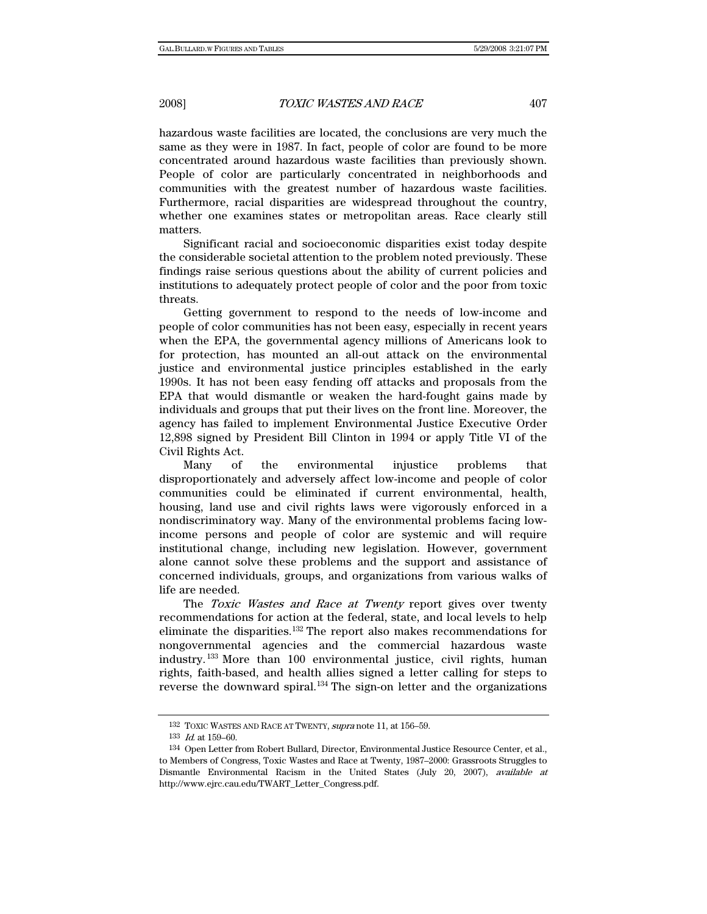hazardous waste facilities are located, the conclusions are very much the same as they were in 1987. In fact, people of color are found to be more concentrated around hazardous waste facilities than previously shown. People of color are particularly concentrated in neighborhoods and communities with the greatest number of hazardous waste facilities. Furthermore, racial disparities are widespread throughout the country, whether one examines states or metropolitan areas. Race clearly still matters.

Significant racial and socioeconomic disparities exist today despite the considerable societal attention to the problem noted previously. These findings raise serious questions about the ability of current policies and institutions to adequately protect people of color and the poor from toxic threats.

Getting government to respond to the needs of low-income and people of color communities has not been easy, especially in recent years when the EPA, the governmental agency millions of Americans look to for protection, has mounted an all-out attack on the environmental justice and environmental justice principles established in the early 1990s. It has not been easy fending off attacks and proposals from the EPA that would dismantle or weaken the hard-fought gains made by individuals and groups that put their lives on the front line. Moreover, the agency has failed to implement Environmental Justice Executive Order 12,898 signed by President Bill Clinton in 1994 or apply Title VI of the Civil Rights Act.

Many of the environmental injustice problems that disproportionately and adversely affect low-income and people of color communities could be eliminated if current environmental, health, housing, land use and civil rights laws were vigorously enforced in a nondiscriminatory way. Many of the environmental problems facing lowincome persons and people of color are systemic and will require institutional change, including new legislation. However, government alone cannot solve these problems and the support and assistance of concerned individuals, groups, and organizations from various walks of life are needed.

The Toxic Wastes and Race at Twenty report gives over twenty recommendations for action at the federal, state, and local levels to help eliminate the disparities.132 The report also makes recommendations for nongovernmental agencies and the commercial hazardous waste industry. 133 More than 100 environmental justice, civil rights, human rights, faith-based, and health allies signed a letter calling for steps to reverse the downward spiral.134 The sign-on letter and the organizations

<sup>132</sup> TOXIC WASTES AND RACE AT TWENTY, supra note 11, at 156-59.

<sup>133</sup>  $Id.$  at 159-60.

<sup>134</sup> Open Letter from Robert Bullard, Director, Environmental Justice Resource Center, et al., to Members of Congress, Toxic Wastes and Race at Twenty, 1987–2000: Grassroots Struggles to Dismantle Environmental Racism in the United States (July 20, 2007), available at http://www.ejrc.cau.edu/TWART\_Letter\_Congress.pdf.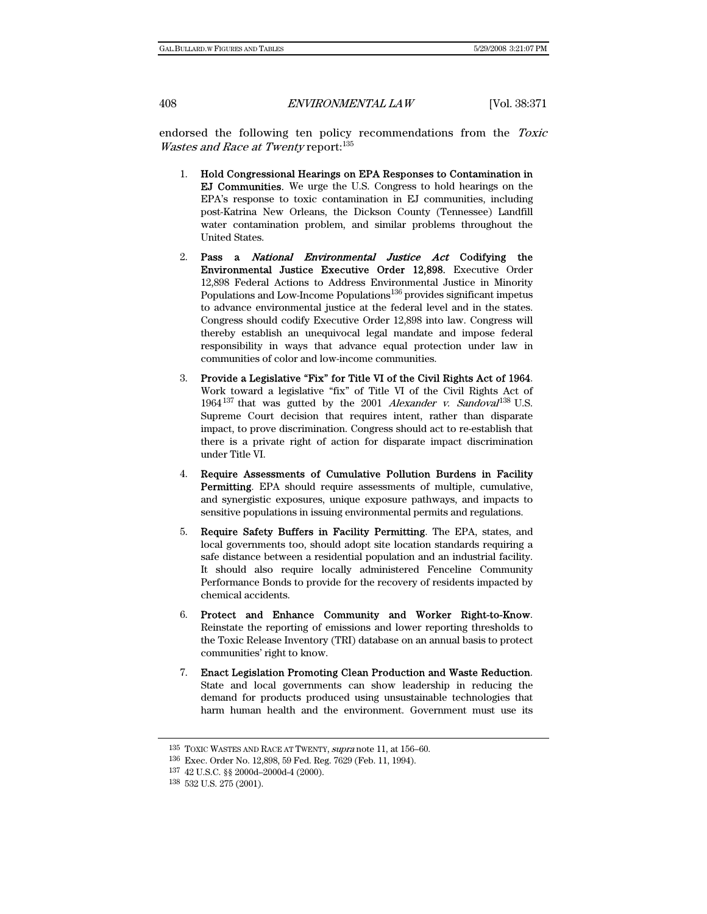endorsed the following ten policy recommendations from the Toxic Wastes and Race at Twenty report:<sup>135</sup>

- 1. Hold Congressional Hearings on EPA Responses to Contamination in EJ Communities. We urge the U.S. Congress to hold hearings on the EPA's response to toxic contamination in EJ communities, including post-Katrina New Orleans, the Dickson County (Tennessee) Landfill water contamination problem, and similar problems throughout the United States.
- 2. Pass a National Environmental Justice Act Codifying the Environmental Justice Executive Order 12,898. Executive Order 12,898 Federal Actions to Address Environmental Justice in Minority Populations and Low-Income Populations<sup>136</sup> provides significant impetus to advance environmental justice at the federal level and in the states. Congress should codify Executive Order 12,898 into law. Congress will thereby establish an unequivocal legal mandate and impose federal responsibility in ways that advance equal protection under law in communities of color and low-income communities.
- 3. Provide a Legislative "Fix" for Title VI of the Civil Rights Act of 1964. Work toward a legislative "fix" of Title VI of the Civil Rights Act of 1964<sup>137</sup> that was gutted by the 2001 Alexander v. Sandoval<sup>138</sup> U.S. Supreme Court decision that requires intent, rather than disparate impact, to prove discrimination. Congress should act to re-establish that there is a private right of action for disparate impact discrimination under Title VI.
- 4. Require Assessments of Cumulative Pollution Burdens in Facility Permitting. EPA should require assessments of multiple, cumulative, and synergistic exposures, unique exposure pathways, and impacts to sensitive populations in issuing environmental permits and regulations.
- 5. Require Safety Buffers in Facility Permitting. The EPA, states, and local governments too, should adopt site location standards requiring a safe distance between a residential population and an industrial facility. It should also require locally administered Fenceline Community Performance Bonds to provide for the recovery of residents impacted by chemical accidents.
- 6. Protect and Enhance Community and Worker Right-to-Know. Reinstate the reporting of emissions and lower reporting thresholds to the Toxic Release Inventory (TRI) database on an annual basis to protect communities' right to know.
- 7. Enact Legislation Promoting Clean Production and Waste Reduction. State and local governments can show leadership in reducing the demand for products produced using unsustainable technologies that harm human health and the environment. Government must use its

<sup>&</sup>lt;sup>135</sup> TOXIC WASTES AND RACE AT TWENTY, *supra* note 11, at 156-60.

<sup>136</sup> Exec. Order No. 12,898, 59 Fed. Reg. 7629 (Feb. 11, 1994).

<sup>137 42</sup> U.S.C. §§ 2000d–2000d-4 (2000).

<sup>138 532</sup> U.S. 275 (2001).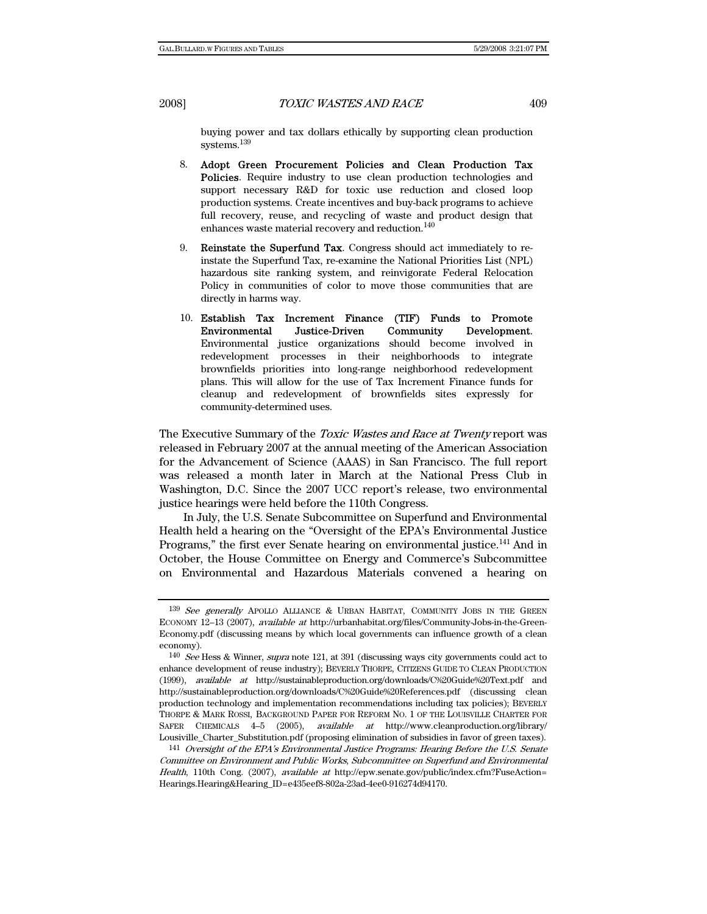buying power and tax dollars ethically by supporting clean production  $\rm systems.^{139}$ 

- 8. Adopt Green Procurement Policies and Clean Production Tax Policies. Require industry to use clean production technologies and support necessary R&D for toxic use reduction and closed loop production systems. Create incentives and buy-back programs to achieve full recovery, reuse, and recycling of waste and product design that enhances waste material recovery and reduction.<sup>140</sup>
- 9. Reinstate the Superfund Tax. Congress should act immediately to reinstate the Superfund Tax, re-examine the National Priorities List (NPL) hazardous site ranking system, and reinvigorate Federal Relocation Policy in communities of color to move those communities that are directly in harms way.
- 10. Establish Tax Increment Finance (TIF) Funds to Promote Environmental Justice-Driven Community Development. Environmental justice organizations should become involved in redevelopment processes in their neighborhoods to integrate brownfields priorities into long-range neighborhood redevelopment plans. This will allow for the use of Tax Increment Finance funds for cleanup and redevelopment of brownfields sites expressly for community-determined uses.

The Executive Summary of the *Toxic Wastes and Race at Twenty* report was released in February 2007 at the annual meeting of the American Association for the Advancement of Science (AAAS) in San Francisco. The full report was released a month later in March at the National Press Club in Washington, D.C. Since the 2007 UCC report's release, two environmental justice hearings were held before the 110th Congress.

In July, the U.S. Senate Subcommittee on Superfund and Environmental Health held a hearing on the "Oversight of the EPA's Environmental Justice Programs," the first ever Senate hearing on environmental justice.<sup>141</sup> And in October, the House Committee on Energy and Commerce's Subcommittee on Environmental and Hazardous Materials convened a hearing on

<sup>139</sup> See generally APOLLO ALLIANCE & URBAN HABITAT, COMMUNITY JOBS IN THE GREEN ECONOMY 12–13 (2007), available at http://urbanhabitat.org/files/Community-Jobs-in-the-Green-Economy.pdf (discussing means by which local governments can influence growth of a clean economy).

<sup>140</sup> See Hess & Winner, supra note 121, at 391 (discussing ways city governments could act to enhance development of reuse industry); BEVERLY THORPE, CITIZENS GUIDE TO CLEAN PRODUCTION (1999), available at http://sustainableproduction.org/downloads/C%20Guide%20Text.pdf and http://sustainableproduction.org/downloads/C%20Guide%20References.pdf (discussing clean production technology and implementation recommendations including tax policies); BEVERLY THORPE & MARK ROSSI, BACKGROUND PAPER FOR REFORM NO. 1 OF THE LOUISVILLE CHARTER FOR SAFER CHEMICALS 4–5 (2005), available at http://www.cleanproduction.org/library/ Lousiville\_Charter\_Substitution.pdf (proposing elimination of subsidies in favor of green taxes).

<sup>141</sup> Oversight of the EPA's Environmental Justice Programs: Hearing Before the U.S. Senate Committee on Environment and Public Works, Subcommittee on Superfund and Environmental Health, 110th Cong. (2007), available at http://epw.senate.gov/public/index.cfm?FuseAction= Hearings.Hearing&Hearing\_ID=e435eef8-802a-23ad-4ee0-916274d94170.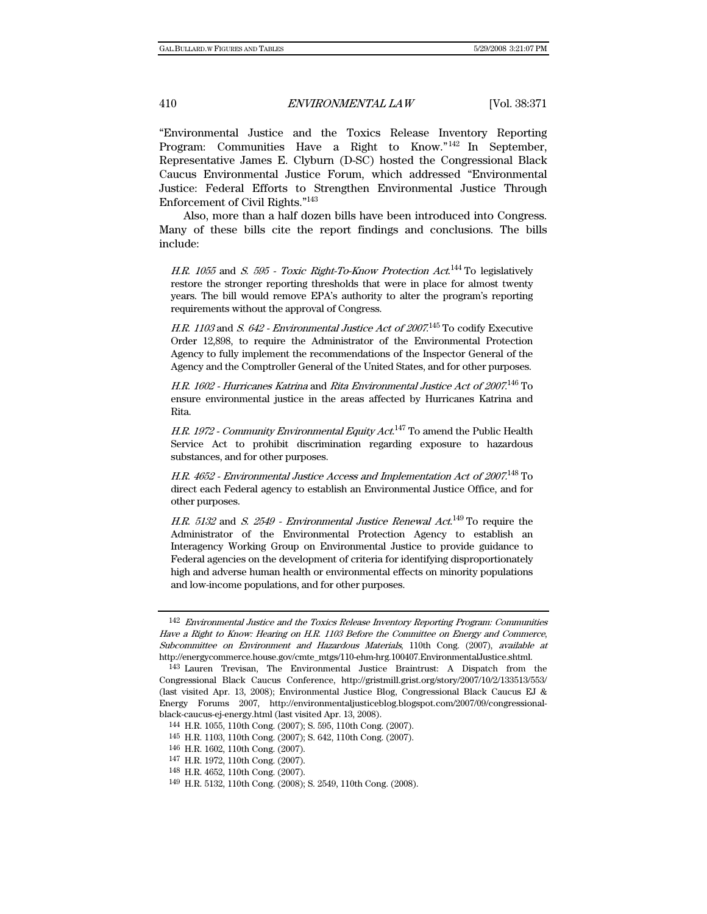"Environmental Justice and the Toxics Release Inventory Reporting Program: Communities Have a Right to Know."<sup>142</sup> In September, Representative James E. Clyburn (D-SC) hosted the Congressional Black Caucus Environmental Justice Forum, which addressed "Environmental Justice: Federal Efforts to Strengthen Environmental Justice Through Enforcement of Civil Rights."143

Also, more than a half dozen bills have been introduced into Congress. Many of these bills cite the report findings and conclusions. The bills include:

H.R. 1055 and S. 595 - Toxic Right-To-Know Protection  $Act^{144}$  To legislatively restore the stronger reporting thresholds that were in place for almost twenty years. The bill would remove EPA's authority to alter the program's reporting requirements without the approval of Congress.

H.R. 1103 and S. 642 - Environmental Justice Act of 2007.<sup>145</sup> To codify Executive Order 12,898, to require the Administrator of the Environmental Protection Agency to fully implement the recommendations of the Inspector General of the Agency and the Comptroller General of the United States, and for other purposes.

H.R. 1602 - Hurricanes Katrina and Rita Environmental Justice Act of 2007.146 To ensure environmental justice in the areas affected by Hurricanes Katrina and Rita.

H.R. 1972 - Community Environmental Equity Act.<sup>147</sup> To amend the Public Health Service Act to prohibit discrimination regarding exposure to hazardous substances, and for other purposes.

H.R. 4652 - Environmental Justice Access and Implementation Act of 2007.<sup>148</sup> To direct each Federal agency to establish an Environmental Justice Office, and for other purposes.

H.R. 5132 and S. 2549 - Environmental Justice Renewal Act.<sup>149</sup> To require the Administrator of the Environmental Protection Agency to establish an Interagency Working Group on Environmental Justice to provide guidance to Federal agencies on the development of criteria for identifying disproportionately high and adverse human health or environmental effects on minority populations and low-income populations, and for other purposes.

<sup>142</sup> Environmental Justice and the Toxics Release Inventory Reporting Program: Communities Have a Right to Know: Hearing on H.R. 1103 Before the Committee on Energy and Commerce, Subcommittee on Environment and Hazardous Materials, 110th Cong. (2007), available at http://energycommerce.house.gov/cmte\_mtgs/110-ehm-hrg.100407.EnvironmentalJustice.shtml.

143 Lauren Trevisan, The Environmental Justice Braintrust: A Dispatch from the Congressional Black Caucus Conference, http://gristmill.grist.org/story/2007/10/2/133513/553/ (last visited Apr. 13, 2008); Environmental Justice Blog, Congressional Black Caucus EJ & Energy Forums 2007, http://environmentaljusticeblog.blogspot.com/2007/09/congressionalblack-caucus-ej-energy.html (last visited Apr. 13, 2008).

<sup>144</sup> H.R. 1055, 110th Cong. (2007); S. 595, 110th Cong. (2007).

<sup>145</sup> H.R. 1103, 110th Cong. (2007); S. 642, 110th Cong. (2007).

<sup>146</sup> H.R. 1602, 110th Cong. (2007).

<sup>147</sup> H.R. 1972, 110th Cong. (2007).

<sup>148</sup> H.R. 4652, 110th Cong. (2007).

<sup>149</sup> H.R. 5132, 110th Cong. (2008); S. 2549, 110th Cong. (2008).